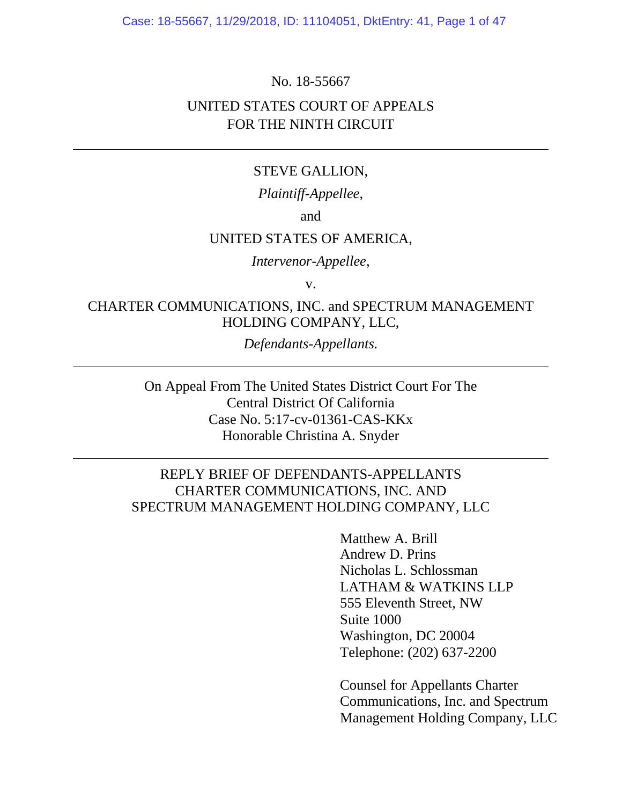Case: 18-55667, 11/29/2018, ID: 11104051, DktEntry: 41, Page 1 of 47

No. 18-55667

## UNITED STATES COURT OF APPEALS FOR THE NINTH CIRCUIT

#### STEVE GALLION,

*Plaintiff-Appellee*,

and

### UNITED STATES OF AMERICA,

*Intervenor-Appellee*,

v.

### CHARTER COMMUNICATIONS, INC. and SPECTRUM MANAGEMENT HOLDING COMPANY, LLC,

*Defendants-Appellants.* 

On Appeal From The United States District Court For The Central District Of California Case No. 5:17-cv-01361-CAS-KKx Honorable Christina A. Snyder

## REPLY BRIEF OF DEFENDANTS-APPELLANTS CHARTER COMMUNICATIONS, INC. AND SPECTRUM MANAGEMENT HOLDING COMPANY, LLC

Matthew A. Brill Andrew D. Prins Nicholas L. Schlossman LATHAM & WATKINS LLP 555 Eleventh Street, NW Suite 1000 Washington, DC 20004 Telephone: (202) 637-2200

Counsel for Appellants Charter Communications, Inc. and Spectrum Management Holding Company, LLC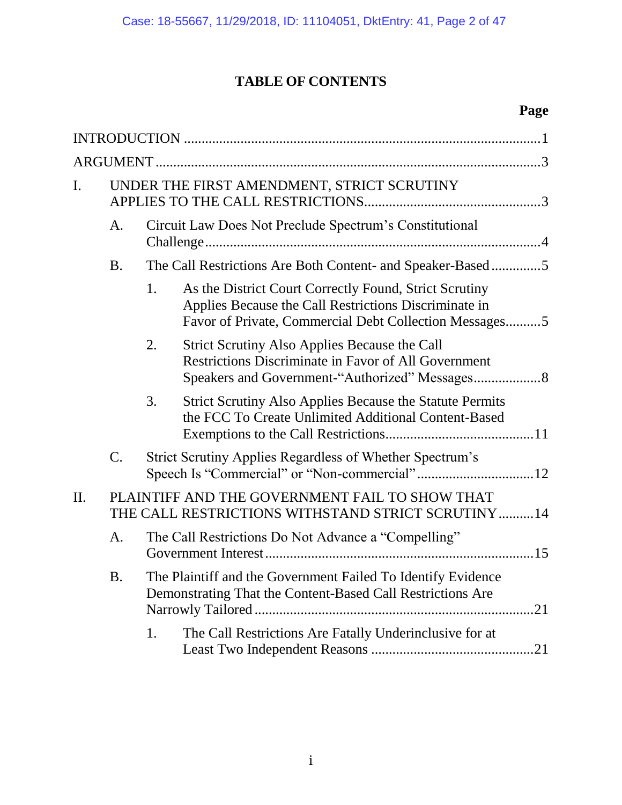# **TABLE OF CONTENTS**

# **Page**

| I.  | UNDER THE FIRST AMENDMENT, STRICT SCRUTINY                                                            |                                                                                                                            |                                                                                                                                                                           |  |
|-----|-------------------------------------------------------------------------------------------------------|----------------------------------------------------------------------------------------------------------------------------|---------------------------------------------------------------------------------------------------------------------------------------------------------------------------|--|
|     | A.                                                                                                    | Circuit Law Does Not Preclude Spectrum's Constitutional                                                                    |                                                                                                                                                                           |  |
|     | <b>B.</b>                                                                                             | The Call Restrictions Are Both Content- and Speaker-Based5                                                                 |                                                                                                                                                                           |  |
|     |                                                                                                       | 1.                                                                                                                         | As the District Court Correctly Found, Strict Scrutiny<br>Applies Because the Call Restrictions Discriminate in<br>Favor of Private, Commercial Debt Collection Messages5 |  |
|     |                                                                                                       | 2.                                                                                                                         | <b>Strict Scrutiny Also Applies Because the Call</b><br><b>Restrictions Discriminate in Favor of All Government</b><br>Speakers and Government-"Authorized" Messages 8    |  |
|     |                                                                                                       | 3.                                                                                                                         | Strict Scrutiny Also Applies Because the Statute Permits<br>the FCC To Create Unlimited Additional Content-Based                                                          |  |
|     | C.                                                                                                    |                                                                                                                            | Strict Scrutiny Applies Regardless of Whether Spectrum's                                                                                                                  |  |
| II. | PLAINTIFF AND THE GOVERNMENT FAIL TO SHOW THAT<br>THE CALL RESTRICTIONS WITHSTAND STRICT SCRUTINY  14 |                                                                                                                            |                                                                                                                                                                           |  |
|     | A.                                                                                                    | The Call Restrictions Do Not Advance a "Compelling"                                                                        |                                                                                                                                                                           |  |
|     | <b>B.</b>                                                                                             | The Plaintiff and the Government Failed To Identify Evidence<br>Demonstrating That the Content-Based Call Restrictions Are |                                                                                                                                                                           |  |
|     |                                                                                                       | 1.                                                                                                                         | The Call Restrictions Are Fatally Underinclusive for at                                                                                                                   |  |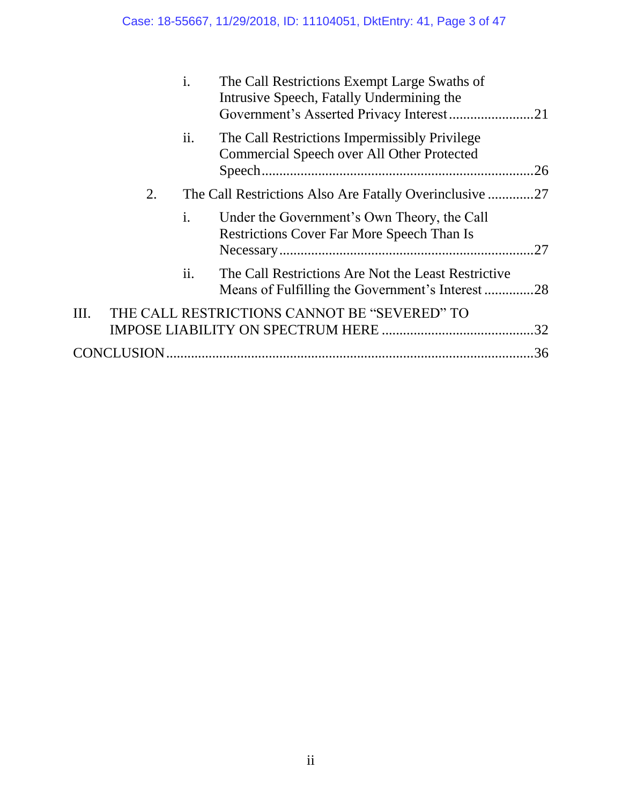|    |             | i.                | The Call Restrictions Exempt Large Swaths of<br>Intrusive Speech, Fatally Undermining the              |
|----|-------------|-------------------|--------------------------------------------------------------------------------------------------------|
|    |             | $\overline{11}$ . | The Call Restrictions Impermissibly Privilege<br>Commercial Speech over All Other Protected<br>.26     |
|    | 2.          |                   | The Call Restrictions Also Are Fatally Overinclusive 27                                                |
|    |             | $\mathbf{i}$ .    | Under the Government's Own Theory, the Call<br><b>Restrictions Cover Far More Speech Than Is</b>       |
|    |             | ii.               | The Call Restrictions Are Not the Least Restrictive<br>Means of Fulfilling the Government's Interest28 |
| Ш. |             |                   | THE CALL RESTRICTIONS CANNOT BE "SEVERED" TO                                                           |
|    | CONCLUSION. |                   | .36                                                                                                    |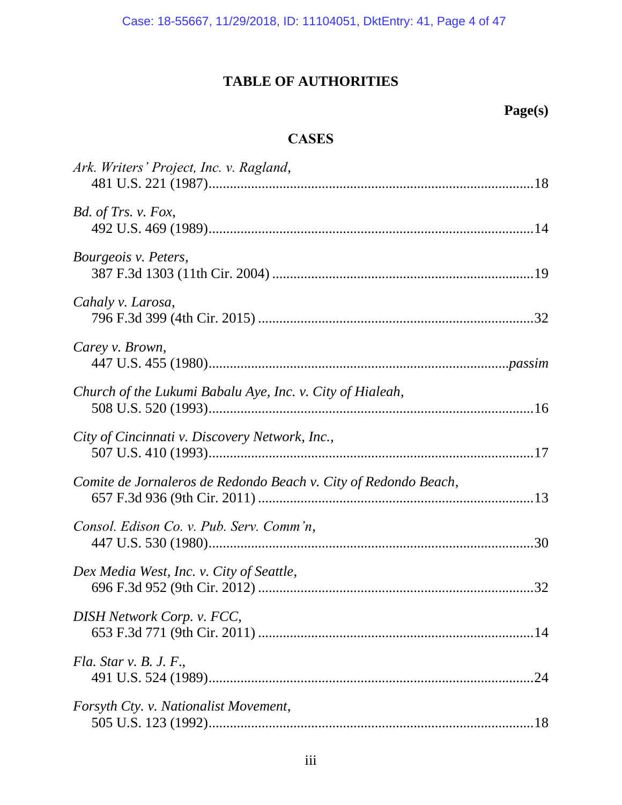Case: 18-55667, 11/29/2018, ID: 11104051, DktEntry: 41, Page 4 of 47

# **TABLE OF AUTHORITIES**

# **Page(s)**

# **CASES**

| Ark. Writers' Project, Inc. v. Ragland,                         |
|-----------------------------------------------------------------|
| Bd. of Trs. v. Fox,                                             |
| Bourgeois v. Peters,                                            |
| Cahaly v. Larosa,                                               |
| Carey v. Brown,                                                 |
| Church of the Lukumi Babalu Aye, Inc. v. City of Hialeah,       |
| City of Cincinnati v. Discovery Network, Inc.,                  |
| Comite de Jornaleros de Redondo Beach v. City of Redondo Beach, |
| Consol. Edison Co. v. Pub. Serv. Comm'n,                        |
| Dex Media West, Inc. v. City of Seattle,                        |
| DISH Network Corp. v. FCC,                                      |
| Fla. Star v. B. J. F.,                                          |
| Forsyth Cty. v. Nationalist Movement,                           |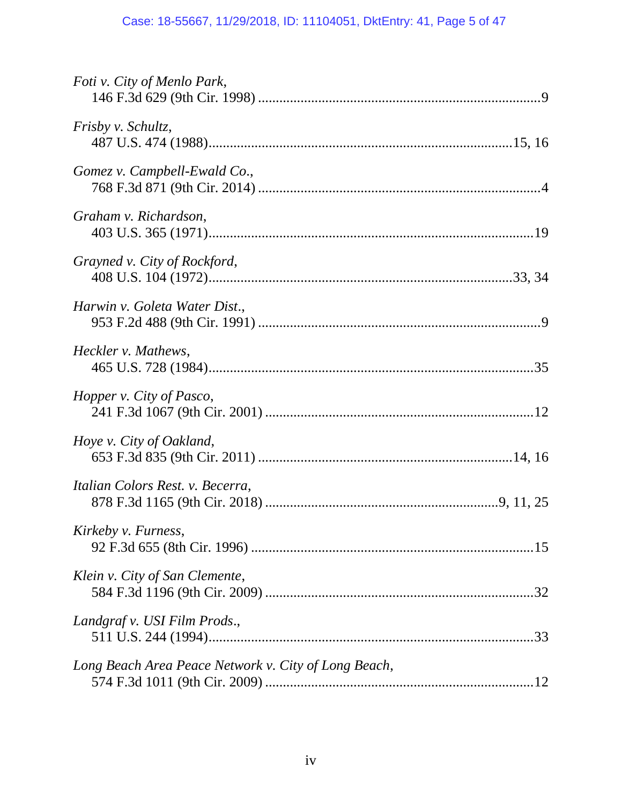| Foti v. City of Menlo Park,                          |
|------------------------------------------------------|
| <i>Frisby v. Schultz,</i>                            |
| Gomez v. Campbell-Ewald Co.,                         |
| Graham v. Richardson,                                |
| Grayned v. City of Rockford,                         |
| Harwin v. Goleta Water Dist.,                        |
| Heckler v. Mathews,                                  |
| Hopper v. City of Pasco,                             |
| Hoye v. City of Oakland,                             |
| Italian Colors Rest. v. Becerra,                     |
| Kirkeby v. Furness,                                  |
| Klein v. City of San Clemente,                       |
| Landgraf v. USI Film Prods.,                         |
| Long Beach Area Peace Network v. City of Long Beach, |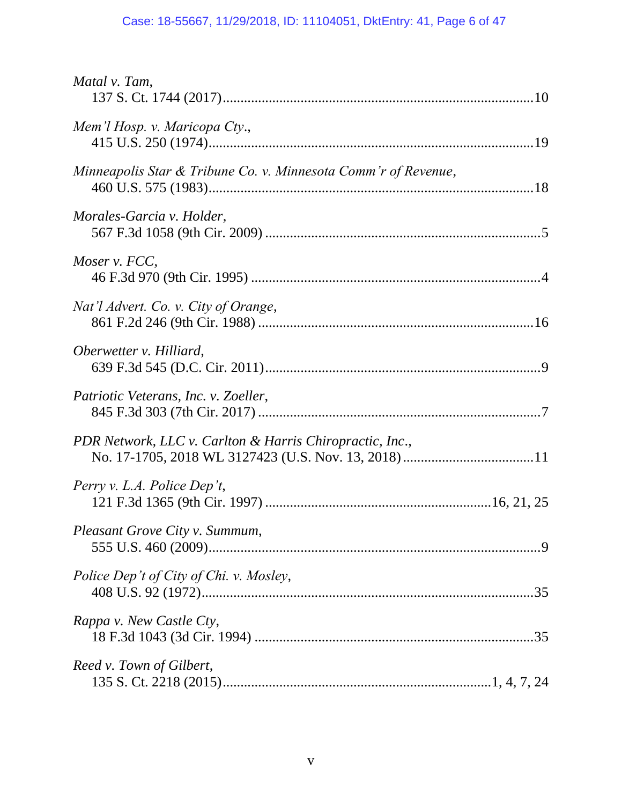# Case: 18-55667, 11/29/2018, ID: 11104051, DktEntry: 41, Page 6 of 47

| Matal v. Tam,                                                  |  |
|----------------------------------------------------------------|--|
| Mem'l Hosp. v. Maricopa Cty.,                                  |  |
| Minneapolis Star & Tribune Co. v. Minnesota Comm'r of Revenue, |  |
| Morales-Garcia v. Holder,                                      |  |
| Moser v. FCC,                                                  |  |
| Nat'l Advert. Co. v. City of Orange,                           |  |
| Oberwetter v. Hilliard,                                        |  |
| Patriotic Veterans, Inc. v. Zoeller,                           |  |
| PDR Network, LLC v. Carlton & Harris Chiropractic, Inc.,       |  |
| Perry v. L.A. Police Dep't,                                    |  |
| <i>Pleasant Grove City v. Summum,</i>                          |  |
| Police Dep't of City of Chi. v. Mosley,                        |  |
| Rappa v. New Castle Cty,                                       |  |
| Reed v. Town of Gilbert,                                       |  |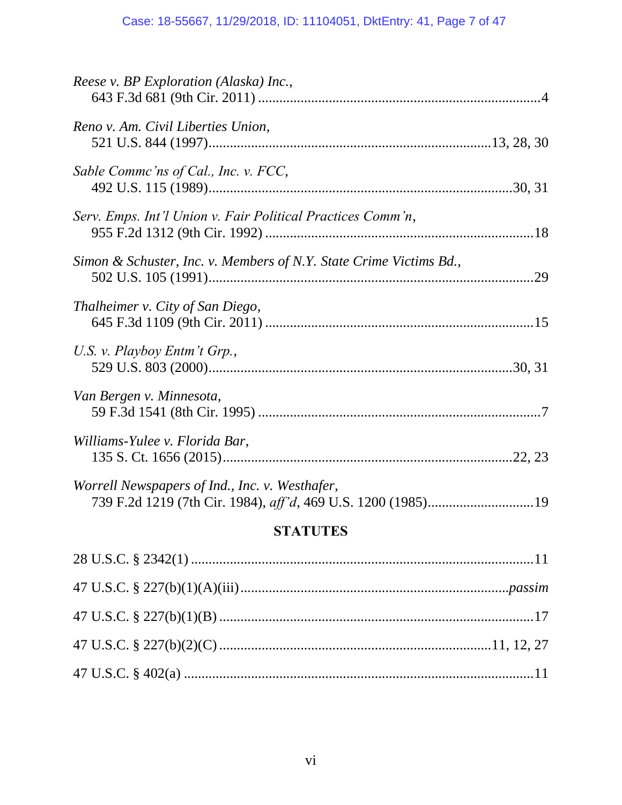| Reese v. BP Exploration (Alaska) Inc.,                                                                         |  |
|----------------------------------------------------------------------------------------------------------------|--|
| Reno v. Am. Civil Liberties Union,                                                                             |  |
| Sable Commc'ns of Cal., Inc. v. FCC,                                                                           |  |
| Serv. Emps. Int'l Union v. Fair Political Practices Comm'n,                                                    |  |
| Simon & Schuster, Inc. v. Members of N.Y. State Crime Victims Bd.,                                             |  |
| Thalheimer v. City of San Diego,                                                                               |  |
| U.S. v. Playboy Entm't Grp.,                                                                                   |  |
| Van Bergen v. Minnesota,                                                                                       |  |
| Williams-Yulee v. Florida Bar,                                                                                 |  |
| Worrell Newspapers of Ind., Inc. v. Westhafer,<br>739 F.2d 1219 (7th Cir. 1984), aff'd, 469 U.S. 1200 (1985)19 |  |
| <b>STATHTES</b>                                                                                                |  |

# **STATUTES**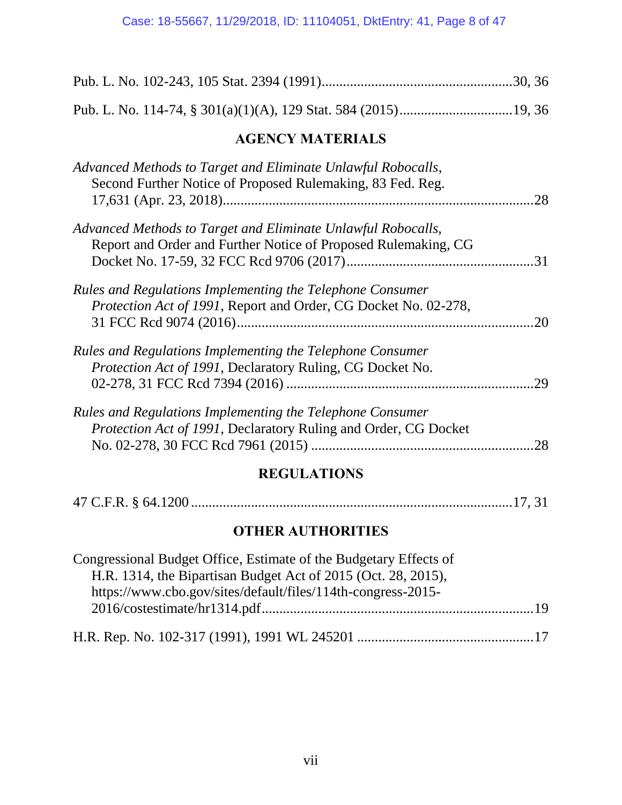| <b>AGENCY MATERIALS</b>                                                                                                                                                                            |
|----------------------------------------------------------------------------------------------------------------------------------------------------------------------------------------------------|
| Advanced Methods to Target and Eliminate Unlawful Robocalls,<br>Second Further Notice of Proposed Rulemaking, 83 Fed. Reg.<br>.28                                                                  |
| Advanced Methods to Target and Eliminate Unlawful Robocalls,<br>Report and Order and Further Notice of Proposed Rulemaking, CG                                                                     |
| Rules and Regulations Implementing the Telephone Consumer<br>Protection Act of 1991, Report and Order, CG Docket No. 02-278,<br>.20                                                                |
| Rules and Regulations Implementing the Telephone Consumer<br>Protection Act of 1991, Declaratory Ruling, CG Docket No.<br>.29                                                                      |
| Rules and Regulations Implementing the Telephone Consumer<br>Protection Act of 1991, Declaratory Ruling and Order, CG Docket                                                                       |
| <b>REGULATIONS</b>                                                                                                                                                                                 |
|                                                                                                                                                                                                    |
| <b>OTHER AUTHORITIES</b>                                                                                                                                                                           |
| Congressional Budget Office, Estimate of the Budgetary Effects of<br>H.R. 1314, the Bipartisan Budget Act of 2015 (Oct. 28, 2015),<br>https://www.cbo.gov/sites/default/files/114th-congress-2015- |

H.R. Rep. No. 102-317 (1991), 1991 WL 245201 .................................................[.17](#page-24-3)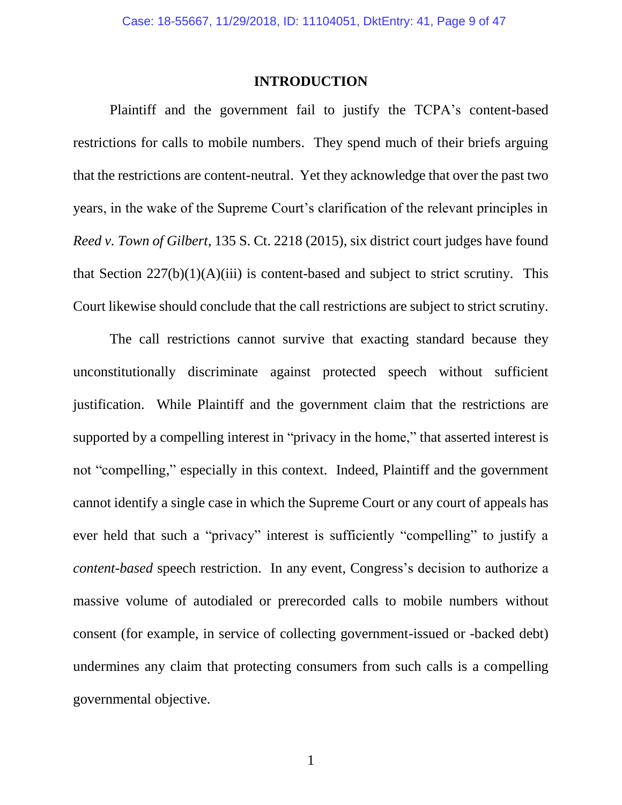#### **INTRODUCTION**

Plaintiff and the government fail to justify the TCPA's content-based restrictions for calls to mobile numbers. They spend much of their briefs arguing that the restrictions are content-neutral. Yet they acknowledge that over the past two years, in the wake of the Supreme Court's clarification of the relevant principles in *Reed v. Town of Gilbert*, 135 S. Ct. 2218 (2015), six district court judges have found that Section  $227(b)(1)(A)(iii)$  is content-based and subject to strict scrutiny. This Court likewise should conclude that the call restrictions are subject to strict scrutiny.

<span id="page-8-1"></span><span id="page-8-0"></span>The call restrictions cannot survive that exacting standard because they unconstitutionally discriminate against protected speech without sufficient justification. While Plaintiff and the government claim that the restrictions are supported by a compelling interest in "privacy in the home," that asserted interest is not "compelling," especially in this context. Indeed, Plaintiff and the government cannot identify a single case in which the Supreme Court or any court of appeals has ever held that such a "privacy" interest is sufficiently "compelling" to justify a *content-based* speech restriction. In any event, Congress's decision to authorize a massive volume of autodialed or prerecorded calls to mobile numbers without consent (for example, in service of collecting government-issued or -backed debt) undermines any claim that protecting consumers from such calls is a compelling governmental objective.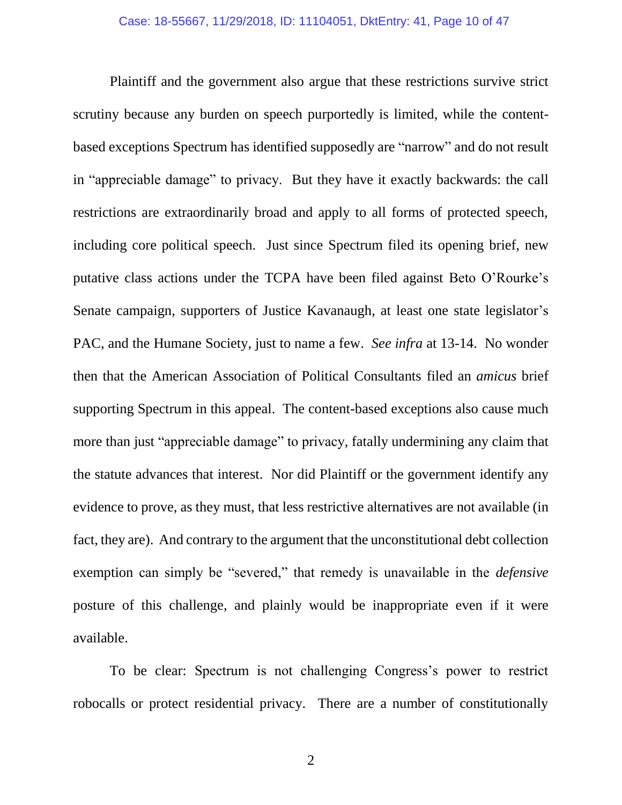Plaintiff and the government also argue that these restrictions survive strict scrutiny because any burden on speech purportedly is limited, while the contentbased exceptions Spectrum has identified supposedly are "narrow" and do not result in "appreciable damage" to privacy. But they have it exactly backwards: the call restrictions are extraordinarily broad and apply to all forms of protected speech, including core political speech. Just since Spectrum filed its opening brief, new putative class actions under the TCPA have been filed against Beto O'Rourke's Senate campaign, supporters of Justice Kavanaugh, at least one state legislator's PAC, and the Humane Society, just to name a few. *See infra* at 13-14. No wonder then that the American Association of Political Consultants filed an *amicus* brief supporting Spectrum in this appeal. The content-based exceptions also cause much more than just "appreciable damage" to privacy, fatally undermining any claim that the statute advances that interest. Nor did Plaintiff or the government identify any evidence to prove, as they must, that less restrictive alternatives are not available (in fact, they are). And contrary to the argument that the unconstitutional debt collection exemption can simply be "severed," that remedy is unavailable in the *defensive*  posture of this challenge, and plainly would be inappropriate even if it were available.

To be clear: Spectrum is not challenging Congress's power to restrict robocalls or protect residential privacy. There are a number of constitutionally

2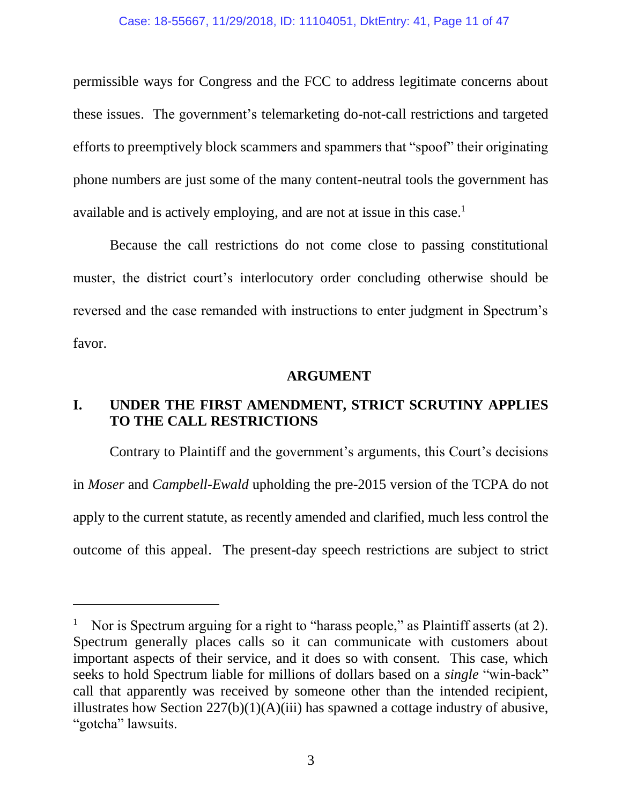permissible ways for Congress and the FCC to address legitimate concerns about these issues. The government's telemarketing do-not-call restrictions and targeted efforts to preemptively block scammers and spammers that "spoof" their originating phone numbers are just some of the many content-neutral tools the government has available and is actively employing, and are not at issue in this case.<sup>1</sup>

Because the call restrictions do not come close to passing constitutional muster, the district court's interlocutory order concluding otherwise should be reversed and the case remanded with instructions to enter judgment in Spectrum's favor.

### **ARGUMENT**

# **I. UNDER THE FIRST AMENDMENT, STRICT SCRUTINY APPLIES TO THE CALL RESTRICTIONS**

Contrary to Plaintiff and the government's arguments, this Court's decisions in *Moser* and *Campbell-Ewald* upholding the pre-2015 version of the TCPA do not apply to the current statute, as recently amended and clarified, much less control the outcome of this appeal. The present-day speech restrictions are subject to strict

l

<sup>1</sup> Nor is Spectrum arguing for a right to "harass people," as Plaintiff asserts (at 2). Spectrum generally places calls so it can communicate with customers about important aspects of their service, and it does so with consent. This case, which seeks to hold Spectrum liable for millions of dollars based on a *single* "win-back" call that apparently was received by someone other than the intended recipient, illustrates how Section  $227(b)(1)(A)(iii)$  has spawned a cottage industry of abusive, "gotcha" lawsuits.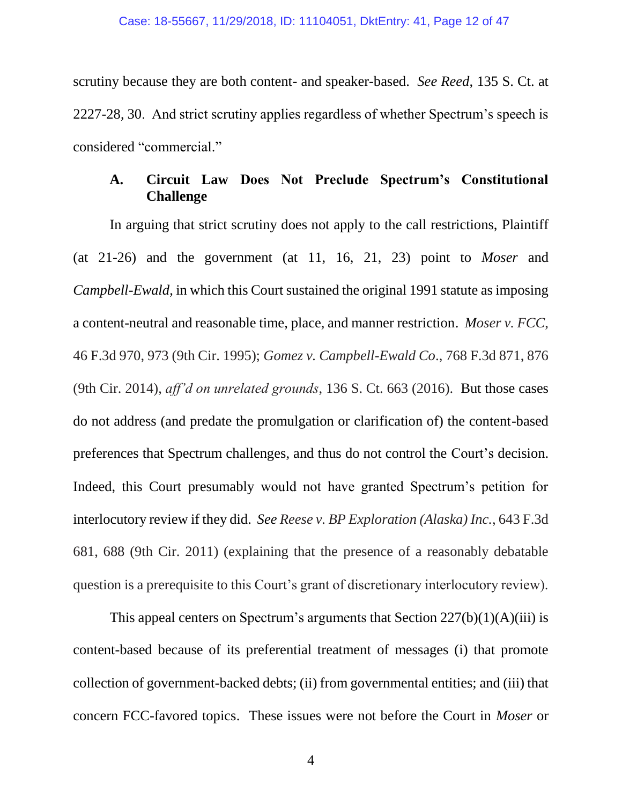scrutiny because they are both content- and speaker-based. *See Reed*, 135 S. Ct. at 2227-28, 30. And strict scrutiny applies regardless of whether Spectrum's speech is considered "commercial."

# <span id="page-11-2"></span><span id="page-11-1"></span>**A. Circuit Law Does Not Preclude Spectrum's Constitutional Challenge**

<span id="page-11-0"></span>In arguing that strict scrutiny does not apply to the call restrictions, Plaintiff (at 21-26) and the government (at 11, 16, 21, 23) point to *Moser* and *Campbell-Ewald*, in which this Court sustained the original 1991 statute as imposing a content-neutral and reasonable time, place, and manner restriction. *Moser v. FCC*, 46 F.3d 970, 973 (9th Cir. 1995); *Gomez v. Campbell-Ewald Co*., 768 F.3d 871, 876 (9th Cir. 2014), *aff'd on unrelated grounds*, 136 S. Ct. 663 (2016). But those cases do not address (and predate the promulgation or clarification of) the content-based preferences that Spectrum challenges, and thus do not control the Court's decision. Indeed, this Court presumably would not have granted Spectrum's petition for interlocutory review if they did. *See Reese v. BP Exploration (Alaska) Inc.*, 643 F.3d 681, 688 (9th Cir. 2011) (explaining that the presence of a reasonably debatable question is a prerequisite to this Court's grant of discretionary interlocutory review).

<span id="page-11-3"></span>This appeal centers on Spectrum's arguments that Section  $227(b)(1)(A)(iii)$  is content-based because of its preferential treatment of messages (i) that promote collection of government-backed debts; (ii) from governmental entities; and (iii) that concern FCC-favored topics. These issues were not before the Court in *Moser* or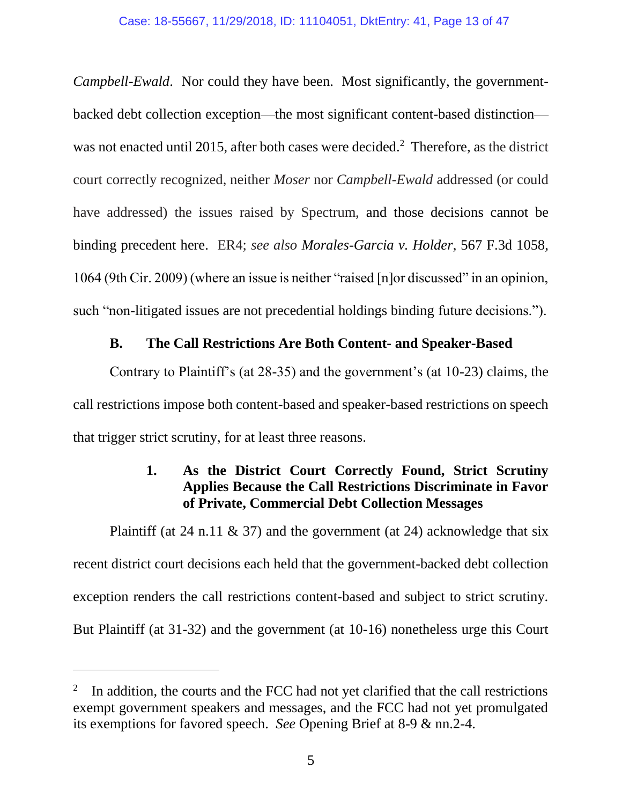*Campbell-Ewald*. Nor could they have been. Most significantly, the governmentbacked debt collection exception—the most significant content-based distinction was not enacted until 2015, after both cases were decided.<sup>2</sup> Therefore, as the district court correctly recognized, neither *Moser* nor *Campbell-Ewald* addressed (or could have addressed) the issues raised by Spectrum, and those decisions cannot be binding precedent here. ER4; *see also Morales-Garcia v. Holder*, 567 F.3d 1058, 1064 (9th Cir. 2009) (where an issue is neither "raised [n]or discussed" in an opinion, such "non-litigated issues are not precedential holdings binding future decisions.").

## <span id="page-12-0"></span>**B. The Call Restrictions Are Both Content- and Speaker-Based**

Contrary to Plaintiff's (at 28-35) and the government's (at 10-23) claims, the call restrictions impose both content-based and speaker-based restrictions on speech that trigger strict scrutiny, for at least three reasons.

# **1. As the District Court Correctly Found, Strict Scrutiny Applies Because the Call Restrictions Discriminate in Favor of Private, Commercial Debt Collection Messages**

Plaintiff (at 24 n.11  $\&$  37) and the government (at 24) acknowledge that six recent district court decisions each held that the government-backed debt collection exception renders the call restrictions content-based and subject to strict scrutiny. But Plaintiff (at 31-32) and the government (at 10-16) nonetheless urge this Court

<sup>2</sup> In addition, the courts and the FCC had not yet clarified that the call restrictions exempt government speakers and messages, and the FCC had not yet promulgated its exemptions for favored speech. *See* Opening Brief at 8-9 & nn.2-4.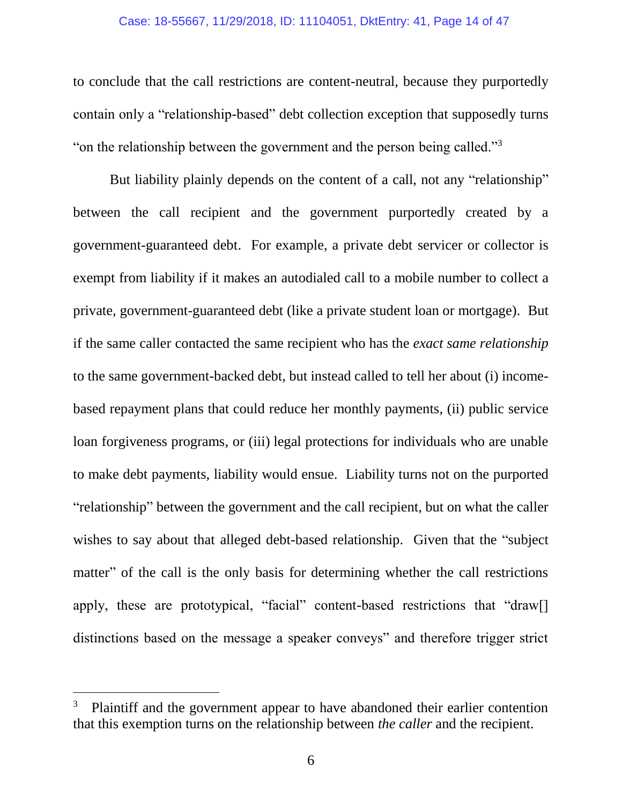#### Case: 18-55667, 11/29/2018, ID: 11104051, DktEntry: 41, Page 14 of 47

to conclude that the call restrictions are content-neutral, because they purportedly contain only a "relationship-based" debt collection exception that supposedly turns "on the relationship between the government and the person being called."<sup>3</sup>

But liability plainly depends on the content of a call, not any "relationship" between the call recipient and the government purportedly created by a government-guaranteed debt. For example, a private debt servicer or collector is exempt from liability if it makes an autodialed call to a mobile number to collect a private, government-guaranteed debt (like a private student loan or mortgage)*.* But if the same caller contacted the same recipient who has the *exact same relationship* to the same government-backed debt, but instead called to tell her about (i) incomebased repayment plans that could reduce her monthly payments, (ii) public service loan forgiveness programs, or (iii) legal protections for individuals who are unable to make debt payments, liability would ensue. Liability turns not on the purported "relationship" between the government and the call recipient, but on what the caller wishes to say about that alleged debt-based relationship. Given that the "subject matter" of the call is the only basis for determining whether the call restrictions apply, these are prototypical, "facial" content-based restrictions that "draw[] distinctions based on the message a speaker conveys" and therefore trigger strict

<sup>3</sup> Plaintiff and the government appear to have abandoned their earlier contention that this exemption turns on the relationship between *the caller* and the recipient.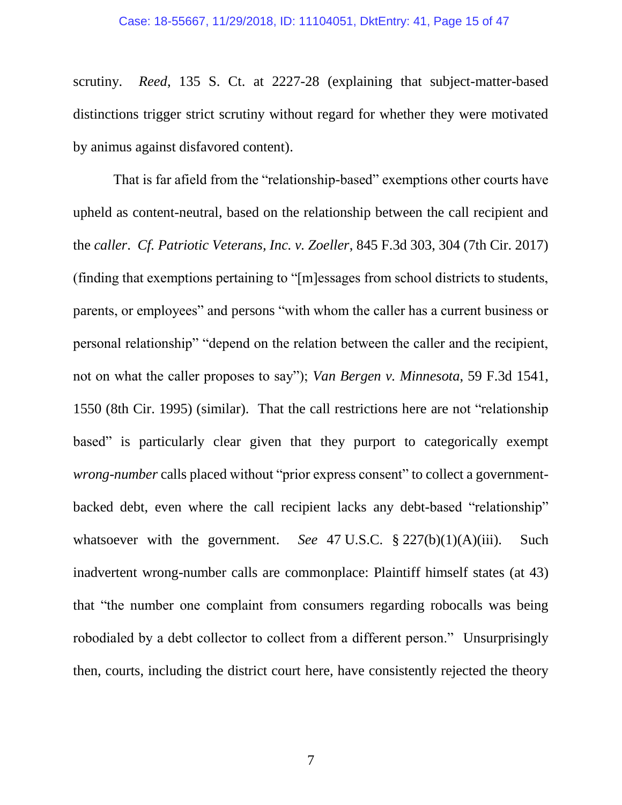<span id="page-14-1"></span>scrutiny. *Reed*, 135 S. Ct. at 2227-28 (explaining that subject-matter-based distinctions trigger strict scrutiny without regard for whether they were motivated by animus against disfavored content).

<span id="page-14-2"></span><span id="page-14-0"></span>That is far afield from the "relationship-based" exemptions other courts have upheld as content-neutral, based on the relationship between the call recipient and the *caller*. *Cf. Patriotic Veterans, Inc. v. Zoeller*, 845 F.3d 303, 304 (7th Cir. 2017) (finding that exemptions pertaining to "[m]essages from school districts to students, parents, or employees" and persons "with whom the caller has a current business or personal relationship" "depend on the relation between the caller and the recipient, not on what the caller proposes to say"); *Van Bergen v. Minnesota*, 59 F.3d 1541, 1550 (8th Cir. 1995) (similar). That the call restrictions here are not "relationship based" is particularly clear given that they purport to categorically exempt *wrong-number* calls placed without "prior express consent" to collect a governmentbacked debt, even where the call recipient lacks any debt-based "relationship" whatsoever with the government. *See* 47 U.S.C. § 227(b)(1)(A)(iii). Such inadvertent wrong-number calls are commonplace: Plaintiff himself states (at 43) that "the number one complaint from consumers regarding robocalls was being robodialed by a debt collector to collect from a different person." Unsurprisingly then, courts, including the district court here, have consistently rejected the theory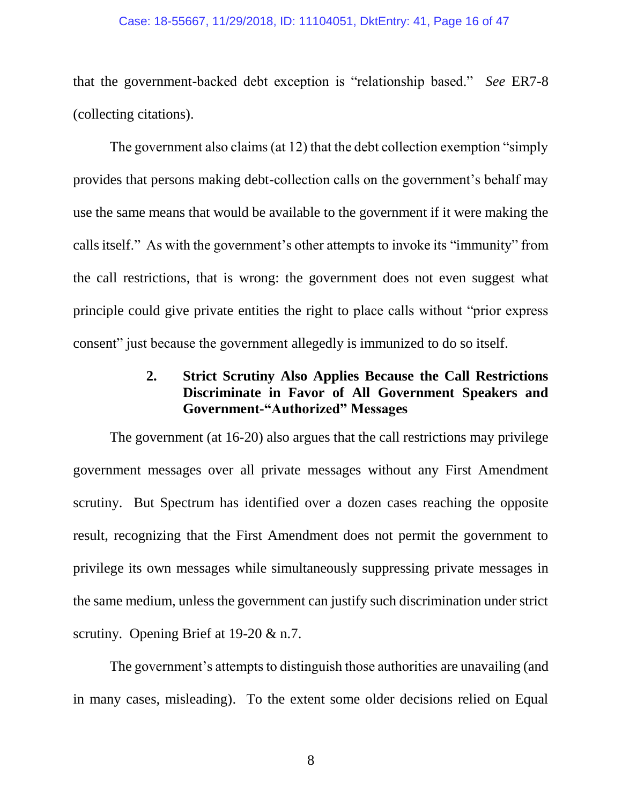#### Case: 18-55667, 11/29/2018, ID: 11104051, DktEntry: 41, Page 16 of 47

that the government-backed debt exception is "relationship based." *See* ER7-8 (collecting citations).

The government also claims (at 12) that the debt collection exemption "simply provides that persons making debt-collection calls on the government's behalf may use the same means that would be available to the government if it were making the calls itself." As with the government's other attempts to invoke its "immunity" from the call restrictions, that is wrong: the government does not even suggest what principle could give private entities the right to place calls without "prior express consent" just because the government allegedly is immunized to do so itself.

# **2. Strict Scrutiny Also Applies Because the Call Restrictions Discriminate in Favor of All Government Speakers and Government-"Authorized" Messages**

The government (at 16-20) also argues that the call restrictions may privilege government messages over all private messages without any First Amendment scrutiny. But Spectrum has identified over a dozen cases reaching the opposite result, recognizing that the First Amendment does not permit the government to privilege its own messages while simultaneously suppressing private messages in the same medium, unless the government can justify such discrimination under strict scrutiny. Opening Brief at 19-20 & n.7.

The government's attempts to distinguish those authorities are unavailing (and in many cases, misleading). To the extent some older decisions relied on Equal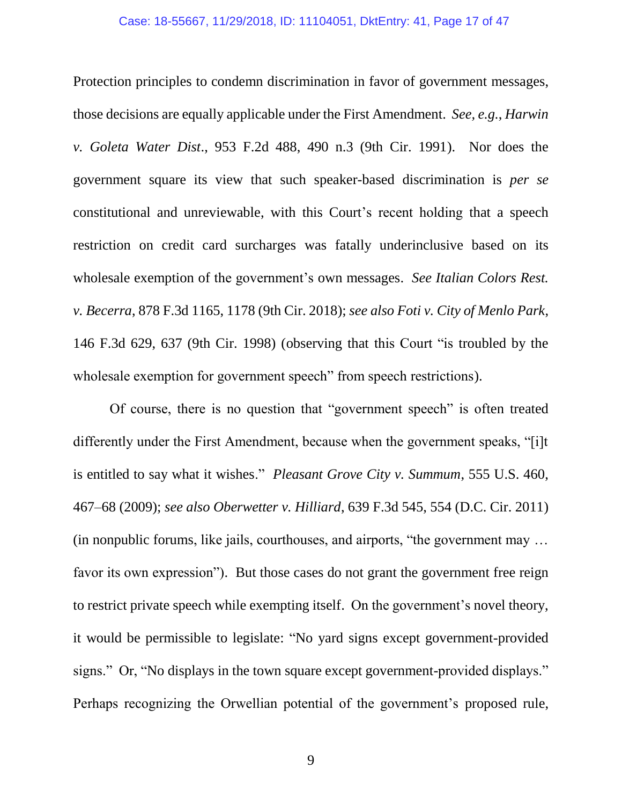#### <span id="page-16-1"></span>Case: 18-55667, 11/29/2018, ID: 11104051, DktEntry: 41, Page 17 of 47

Protection principles to condemn discrimination in favor of government messages, those decisions are equally applicable under the First Amendment. *See, e.g.*, *Harwin v. Goleta Water Dist*., 953 F.2d 488, 490 n.3 (9th Cir. 1991). Nor does the government square its view that such speaker-based discrimination is *per se*  constitutional and unreviewable, with this Court's recent holding that a speech restriction on credit card surcharges was fatally underinclusive based on its wholesale exemption of the government's own messages. *See Italian Colors Rest. v. Becerra*, 878 F.3d 1165, 1178 (9th Cir. 2018); *see also Foti v. City of Menlo Park*, 146 F.3d 629, 637 (9th Cir. 1998) (observing that this Court "is troubled by the wholesale exemption for government speech" from speech restrictions).

<span id="page-16-4"></span><span id="page-16-3"></span><span id="page-16-2"></span><span id="page-16-0"></span>Of course, there is no question that "government speech" is often treated differently under the First Amendment, because when the government speaks, "[i]t is entitled to say what it wishes." *Pleasant Grove City v. Summum*, 555 U.S. 460, 467–68 (2009); *see also Oberwetter v. Hilliard*, 639 F.3d 545, 554 (D.C. Cir. 2011) (in nonpublic forums, like jails, courthouses, and airports, "the government may … favor its own expression"). But those cases do not grant the government free reign to restrict private speech while exempting itself. On the government's novel theory, it would be permissible to legislate: "No yard signs except government-provided signs." Or, "No displays in the town square except government-provided displays." Perhaps recognizing the Orwellian potential of the government's proposed rule,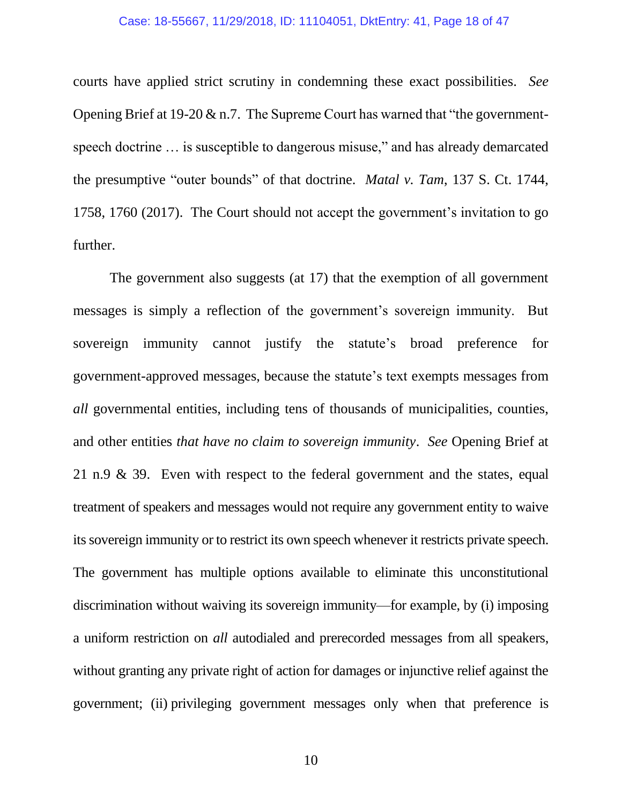#### <span id="page-17-0"></span>Case: 18-55667, 11/29/2018, ID: 11104051, DktEntry: 41, Page 18 of 47

courts have applied strict scrutiny in condemning these exact possibilities. *See*  Opening Brief at 19-20 & n.7.The Supreme Court has warned that "the governmentspeech doctrine … is susceptible to dangerous misuse," and has already demarcated the presumptive "outer bounds" of that doctrine. *Matal v. Tam*, 137 S. Ct. 1744, 1758, 1760 (2017). The Court should not accept the government's invitation to go further.

The government also suggests (at 17) that the exemption of all government messages is simply a reflection of the government's sovereign immunity. But sovereign immunity cannot justify the statute's broad preference for government-approved messages, because the statute's text exempts messages from *all* governmental entities, including tens of thousands of municipalities, counties, and other entities *that have no claim to sovereign immunity*. *See* Opening Brief at 21 n.9 & 39. Even with respect to the federal government and the states, equal treatment of speakers and messages would not require any government entity to waive its sovereign immunity or to restrict its own speech whenever it restricts private speech. The government has multiple options available to eliminate this unconstitutional discrimination without waiving its sovereign immunity—for example, by (i) imposing a uniform restriction on *all* autodialed and prerecorded messages from all speakers, without granting any private right of action for damages or injunctive relief against the government; (ii) privileging government messages only when that preference is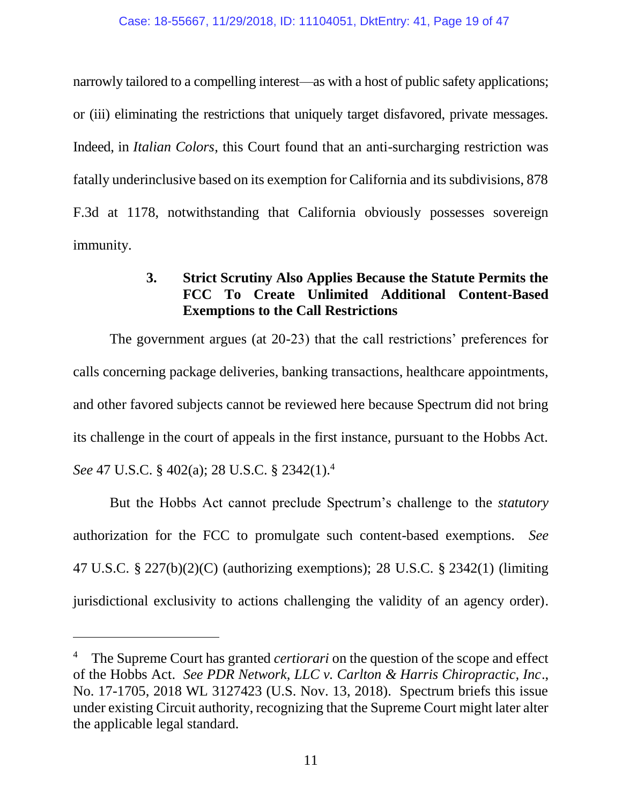narrowly tailored to a compelling interest—as with a host of public safety applications; or (iii) eliminating the restrictions that uniquely target disfavored, private messages. Indeed, in *Italian Colors*, this Court found that an anti-surcharging restriction was fatally underinclusive based on its exemption for California and its subdivisions, 878 F.3d at 1178, notwithstanding that California obviously possesses sovereign immunity.

# <span id="page-18-0"></span>**3. Strict Scrutiny Also Applies Because the Statute Permits the FCC To Create Unlimited Additional Content-Based Exemptions to the Call Restrictions**

The government argues (at 20-23) that the call restrictions' preferences for calls concerning package deliveries, banking transactions, healthcare appointments, and other favored subjects cannot be reviewed here because Spectrum did not bring its challenge in the court of appeals in the first instance, pursuant to the Hobbs Act. *See* 47 U.S.C. § 402(a); 28 U.S.C. § 2342(1).<sup>4</sup>

<span id="page-18-4"></span><span id="page-18-3"></span><span id="page-18-2"></span>But the Hobbs Act cannot preclude Spectrum's challenge to the *statutory* authorization for the FCC to promulgate such content-based exemptions. *See* 47 U.S.C. § 227(b)(2)(C) (authorizing exemptions); 28 U.S.C. § 2342(1) (limiting jurisdictional exclusivity to actions challenging the validity of an agency order).

<span id="page-18-1"></span><sup>4</sup> The Supreme Court has granted *certiorari* on the question of the scope and effect of the Hobbs Act. *See PDR Network, LLC v. Carlton & Harris Chiropractic, Inc*., No. 17-1705, 2018 WL 3127423 (U.S. Nov. 13, 2018). Spectrum briefs this issue under existing Circuit authority, recognizing that the Supreme Court might later alter the applicable legal standard.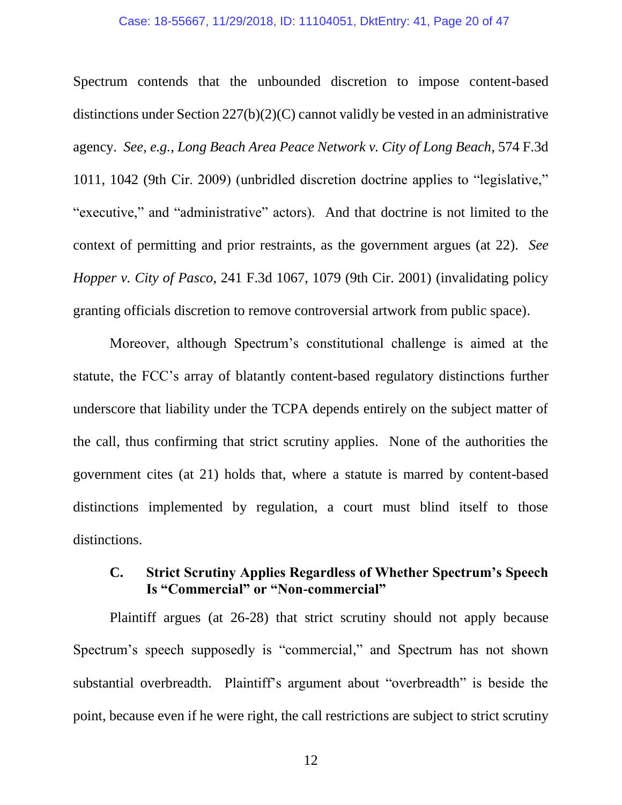#### <span id="page-19-2"></span>Case: 18-55667, 11/29/2018, ID: 11104051, DktEntry: 41, Page 20 of 47

<span id="page-19-1"></span>Spectrum contends that the unbounded discretion to impose content-based distinctions under Section 227(b)(2)(C) cannot validly be vested in an administrative agency. *See, e.g.*, *Long Beach Area Peace Network v. City of Long Beach*, 574 F.3d 1011, 1042 (9th Cir. 2009) (unbridled discretion doctrine applies to "legislative," "executive," and "administrative" actors). And that doctrine is not limited to the context of permitting and prior restraints, as the government argues (at 22). *See Hopper v. City of Pasco*, 241 F.3d 1067, 1079 (9th Cir. 2001) (invalidating policy granting officials discretion to remove controversial artwork from public space).

<span id="page-19-0"></span>Moreover, although Spectrum's constitutional challenge is aimed at the statute, the FCC's array of blatantly content-based regulatory distinctions further underscore that liability under the TCPA depends entirely on the subject matter of the call, thus confirming that strict scrutiny applies. None of the authorities the government cites (at 21) holds that, where a statute is marred by content-based distinctions implemented by regulation, a court must blind itself to those distinctions.

### **C. Strict Scrutiny Applies Regardless of Whether Spectrum's Speech Is "Commercial" or "Non-commercial"**

Plaintiff argues (at 26-28) that strict scrutiny should not apply because Spectrum's speech supposedly is "commercial," and Spectrum has not shown substantial overbreadth. Plaintiff's argument about "overbreadth" is beside the point, because even if he were right, the call restrictions are subject to strict scrutiny

12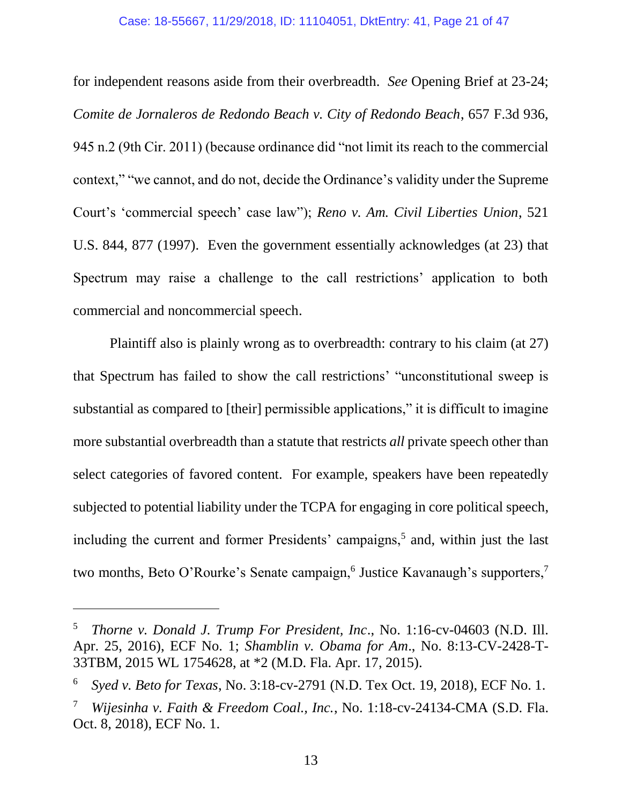#### <span id="page-20-1"></span>Case: 18-55667, 11/29/2018, ID: 11104051, DktEntry: 41, Page 21 of 47

<span id="page-20-0"></span>for independent reasons aside from their overbreadth. *See* Opening Brief at 23-24; *Comite de Jornaleros de Redondo Beach v. City of Redondo Beach*, 657 F.3d 936, 945 n.2 (9th Cir. 2011) (because ordinance did "not limit its reach to the commercial context," "we cannot, and do not, decide the Ordinance's validity under the Supreme Court's 'commercial speech' case law"); *Reno v. Am. Civil Liberties Union*, 521 U.S. 844, 877 (1997). Even the government essentially acknowledges (at 23) that Spectrum may raise a challenge to the call restrictions' application to both commercial and noncommercial speech.

Plaintiff also is plainly wrong as to overbreadth: contrary to his claim (at 27) that Spectrum has failed to show the call restrictions' "unconstitutional sweep is substantial as compared to [their] permissible applications," it is difficult to imagine more substantial overbreadth than a statute that restricts *all* private speech other than select categories of favored content. For example, speakers have been repeatedly subjected to potential liability under the TCPA for engaging in core political speech, including the current and former Presidents' campaigns,<sup>5</sup> and, within just the last two months, Beto O'Rourke's Senate campaign,<sup>6</sup> Justice Kavanaugh's supporters,<sup>7</sup>

l

<sup>5</sup> *Thorne v. Donald J. Trump For President, Inc*., No. 1:16-cv-04603 (N.D. Ill. Apr. 25, 2016), ECF No. 1; *Shamblin v. Obama for Am*., No. 8:13-CV-2428-T-33TBM, 2015 WL 1754628, at \*2 (M.D. Fla. Apr. 17, 2015).

<sup>6</sup> *Syed v. Beto for Texas*, No. 3:18-cv-2791 (N.D. Tex Oct. 19, 2018), ECF No. 1.

<sup>7</sup> *Wijesinha v. Faith & Freedom Coal., Inc.*, No. 1:18-cv-24134-CMA (S.D. Fla. Oct. 8, 2018), ECF No. 1.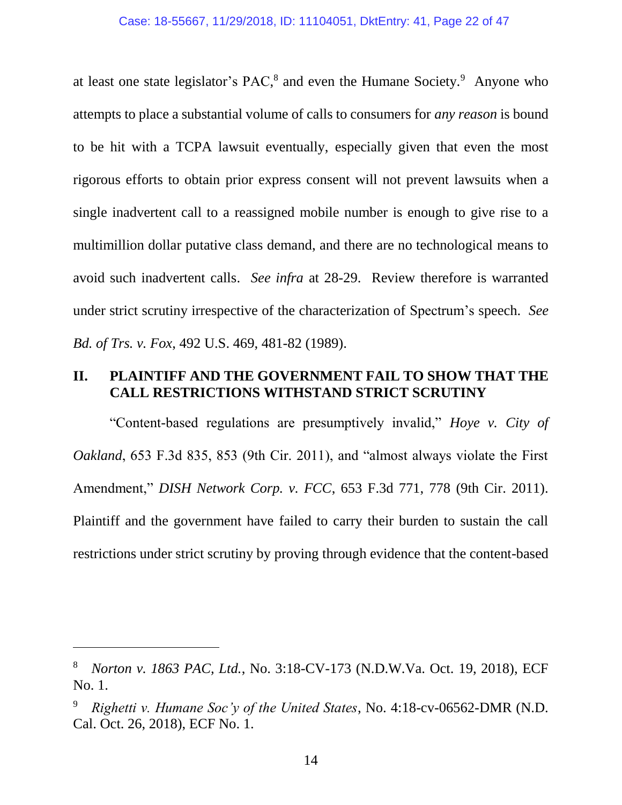at least one state legislator's PAC, $8$  and even the Humane Society. $9$  Anyone who attempts to place a substantial volume of calls to consumers for *any reason* is bound to be hit with a TCPA lawsuit eventually, especially given that even the most rigorous efforts to obtain prior express consent will not prevent lawsuits when a single inadvertent call to a reassigned mobile number is enough to give rise to a multimillion dollar putative class demand, and there are no technological means to avoid such inadvertent calls. *See infra* at 28-29. Review therefore is warranted under strict scrutiny irrespective of the characterization of Spectrum's speech. *See Bd. of Trs. v. Fox*, 492 U.S. 469, 481-82 (1989).

### <span id="page-21-0"></span>**II. PLAINTIFF AND THE GOVERNMENT FAIL TO SHOW THAT THE CALL RESTRICTIONS WITHSTAND STRICT SCRUTINY**

<span id="page-21-2"></span><span id="page-21-1"></span>"Content-based regulations are presumptively invalid," *Hoye v. City of Oakland*, 653 F.3d 835, 853 (9th Cir. 2011), and "almost always violate the First Amendment," *DISH Network Corp. v. FCC*, 653 F.3d 771, 778 (9th Cir. 2011). Plaintiff and the government have failed to carry their burden to sustain the call restrictions under strict scrutiny by proving through evidence that the content-based

<sup>8</sup> *Norton v. 1863 PAC, Ltd.*, No. 3:18-CV-173 (N.D.W.Va. Oct. 19, 2018), ECF No. 1.

<sup>9</sup> *Righetti v. Humane Soc'y of the United States*, No. 4:18-cv-06562-DMR (N.D. Cal. Oct. 26, 2018), ECF No. 1.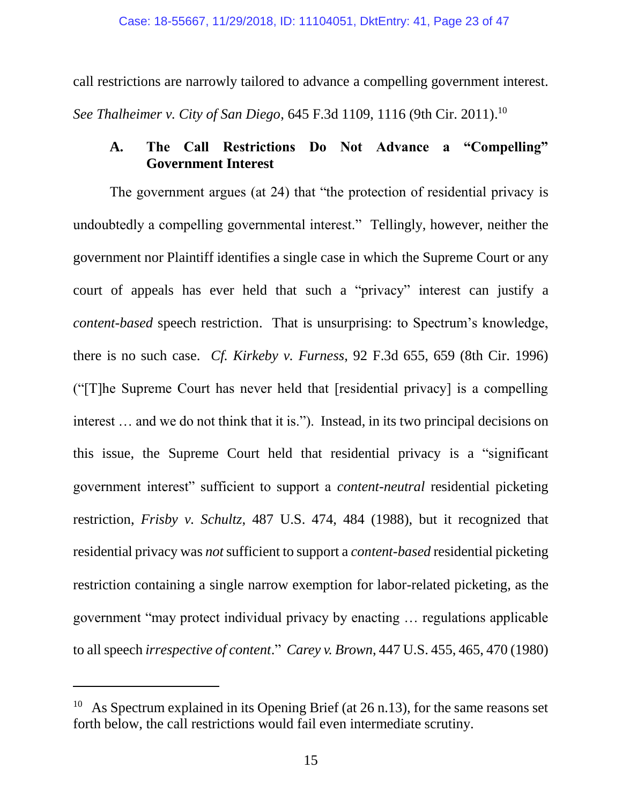call restrictions are narrowly tailored to advance a compelling government interest.

<span id="page-22-3"></span>*See Thalheimer v. City of San Diego*, 645 F.3d 1109, 1116 (9th Cir. 2011). 10

# **A. The Call Restrictions Do Not Advance a "Compelling" Government Interest**

<span id="page-22-2"></span>The government argues (at 24) that "the protection of residential privacy is undoubtedly a compelling governmental interest." Tellingly, however, neither the government nor Plaintiff identifies a single case in which the Supreme Court or any court of appeals has ever held that such a "privacy" interest can justify a *content-based* speech restriction. That is unsurprising: to Spectrum's knowledge, there is no such case. *Cf. Kirkeby v. Furness*, 92 F.3d 655, 659 (8th Cir. 1996) ("[T]he Supreme Court has never held that [residential privacy] is a compelling interest … and we do not think that it is."). Instead, in its two principal decisions on this issue, the Supreme Court held that residential privacy is a "significant government interest" sufficient to support a *content-neutral* residential picketing restriction, *Frisby v. Schultz*, 487 U.S. 474, 484 (1988), but it recognized that residential privacy was *not*sufficient to support a *content-based* residential picketing restriction containing a single narrow exemption for labor-related picketing, as the government "may protect individual privacy by enacting … regulations applicable to all speech *irrespective of content*." *Carey v. Brown*, 447 U.S. 455, 465, 470 (1980)

<span id="page-22-1"></span><span id="page-22-0"></span>As Spectrum explained in its Opening Brief (at 26 n.13), for the same reasons set forth below, the call restrictions would fail even intermediate scrutiny.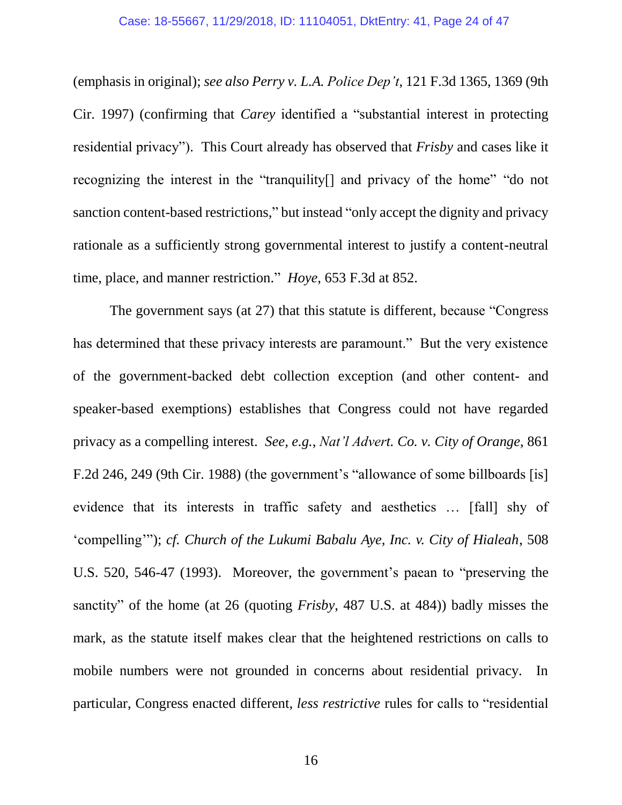<span id="page-23-4"></span>(emphasis in original); *see also Perry v. L.A. Police Dep't*, 121 F.3d 1365, 1369 (9th Cir. 1997) (confirming that *Carey* identified a "substantial interest in protecting residential privacy"). This Court already has observed that *Frisby* and cases like it recognizing the interest in the "tranquility[] and privacy of the home" "do not sanction content-based restrictions," but instead "only accept the dignity and privacy rationale as a sufficiently strong governmental interest to justify a content-neutral time, place, and manner restriction." *Hoye*, 653 F.3d at 852.

<span id="page-23-3"></span><span id="page-23-2"></span><span id="page-23-1"></span><span id="page-23-0"></span>The government says (at 27) that this statute is different, because "Congress has determined that these privacy interests are paramount." But the very existence of the government-backed debt collection exception (and other content- and speaker-based exemptions) establishes that Congress could not have regarded privacy as a compelling interest. *See, e.g.*, *Nat'l Advert. Co. v. City of Orange*, 861 F.2d 246, 249 (9th Cir. 1988) (the government's "allowance of some billboards [is] evidence that its interests in traffic safety and aesthetics … [fall] shy of 'compelling'"); *cf. Church of the Lukumi Babalu Aye, Inc. v. City of Hialeah*, 508 U.S. 520, 546-47 (1993). Moreover, the government's paean to "preserving the sanctity" of the home (at 26 (quoting *Frisby*, 487 U.S. at 484)) badly misses the mark, as the statute itself makes clear that the heightened restrictions on calls to mobile numbers were not grounded in concerns about residential privacy. In particular, Congress enacted different, *less restrictive* rules for calls to "residential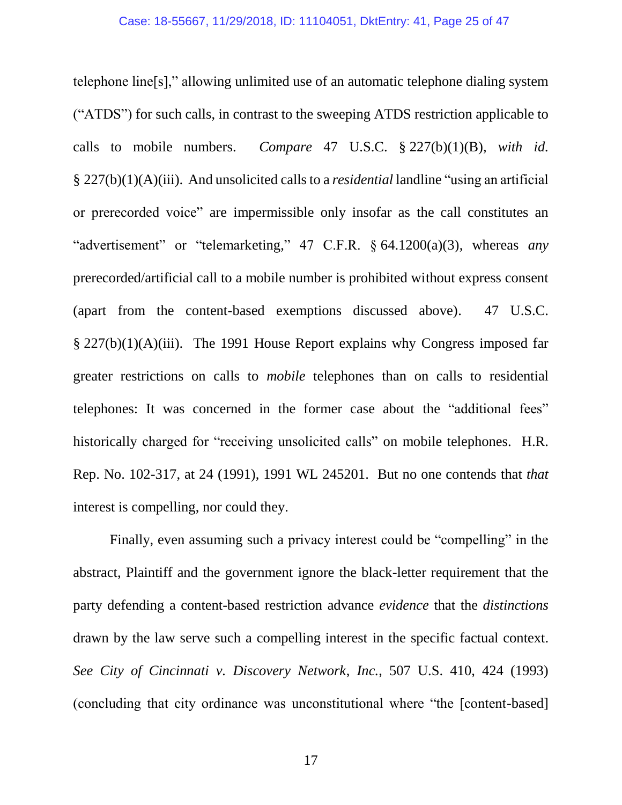<span id="page-24-2"></span><span id="page-24-1"></span>telephone line[s]," allowing unlimited use of an automatic telephone dialing system ("ATDS") for such calls, in contrast to the sweeping ATDS restriction applicable to calls to mobile numbers. *Compare* 47 U.S.C. § 227(b)(1)(B), *with id.*  § 227(b)(1)(A)(iii). And unsolicited callsto a *residential* landline "using an artificial or prerecorded voice" are impermissible only insofar as the call constitutes an "advertisement" or "telemarketing," 47 C.F.R. § 64.1200(a)(3), whereas *any* prerecorded/artificial call to a mobile number is prohibited without express consent (apart from the content-based exemptions discussed above). 47 U.S.C. § 227(b)(1)(A)(iii). The 1991 House Report explains why Congress imposed far greater restrictions on calls to *mobile* telephones than on calls to residential telephones: It was concerned in the former case about the "additional fees" historically charged for "receiving unsolicited calls" on mobile telephones. H.R. Rep. No. 102-317, at 24 (1991), 1991 WL 245201. But no one contends that *that*  interest is compelling, nor could they.

<span id="page-24-3"></span><span id="page-24-0"></span>Finally, even assuming such a privacy interest could be "compelling" in the abstract, Plaintiff and the government ignore the black-letter requirement that the party defending a content-based restriction advance *evidence* that the *distinctions*  drawn by the law serve such a compelling interest in the specific factual context. *See City of Cincinnati v. Discovery Network*, *Inc.*, 507 U.S. 410, 424 (1993) (concluding that city ordinance was unconstitutional where "the [content-based]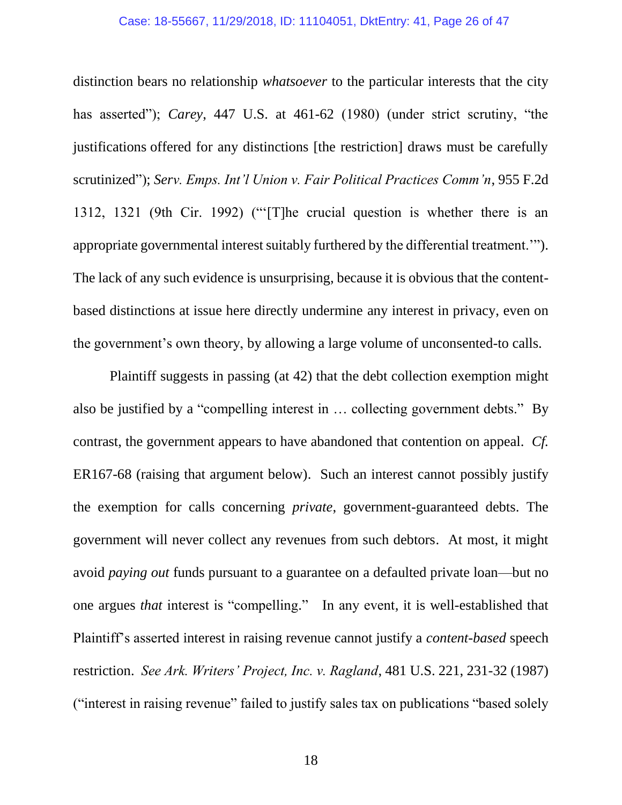#### Case: 18-55667, 11/29/2018, ID: 11104051, DktEntry: 41, Page 26 of 47

<span id="page-25-1"></span>distinction bears no relationship *whatsoever* to the particular interests that the city has asserted"); *Carey*, 447 U.S. at 461-62 (1980) (under strict scrutiny, "the justifications offered for any distinctions [the restriction] draws must be carefully scrutinized"); *Serv. Emps. Int'l Union v. Fair Political Practices Comm'n*, 955 F.2d 1312, 1321 (9th Cir. 1992) ("'[T]he crucial question is whether there is an appropriate governmental interest suitably furthered by the differential treatment.'"). The lack of any such evidence is unsurprising, because it is obvious that the contentbased distinctions at issue here directly undermine any interest in privacy, even on the government's own theory, by allowing a large volume of unconsented-to calls.

<span id="page-25-0"></span>Plaintiff suggests in passing (at 42) that the debt collection exemption might also be justified by a "compelling interest in … collecting government debts." By contrast, the government appears to have abandoned that contention on appeal. *Cf.* ER167-68 (raising that argument below). Such an interest cannot possibly justify the exemption for calls concerning *private*, government-guaranteed debts. The government will never collect any revenues from such debtors. At most, it might avoid *paying out* funds pursuant to a guarantee on a defaulted private loan—but no one argues *that* interest is "compelling." In any event, it is well-established that Plaintiff's asserted interest in raising revenue cannot justify a *content-based* speech restriction. *See Ark. Writers' Project, Inc. v. Ragland*, 481 U.S. 221, 231-32 (1987) ("interest in raising revenue" failed to justify sales tax on publications "based solely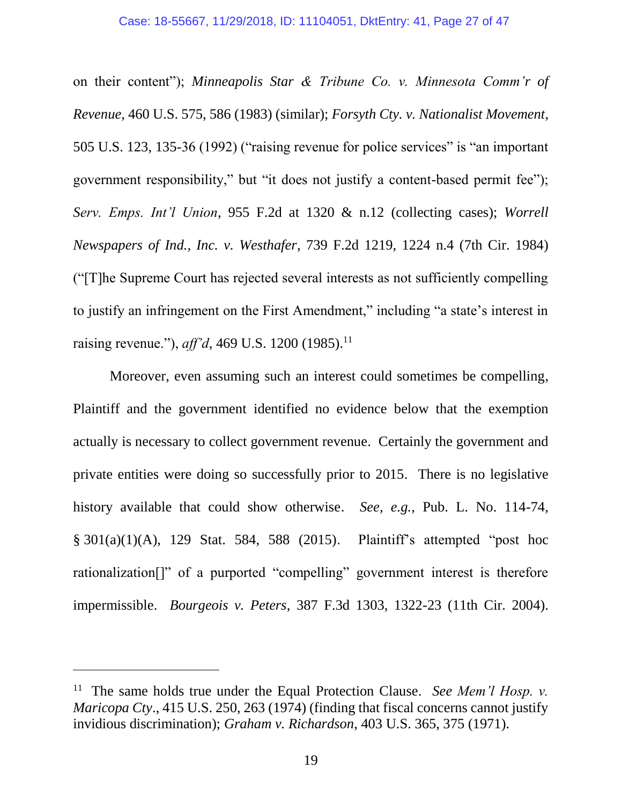<span id="page-26-5"></span><span id="page-26-4"></span><span id="page-26-1"></span>on their content"); *Minneapolis Star & Tribune Co. v. Minnesota Comm'r of Revenue*, 460 U.S. 575, 586 (1983) (similar); *Forsyth Cty. v. Nationalist Movement*, 505 U.S. 123, 135-36 (1992) ("raising revenue for police services" is "an important government responsibility," but "it does not justify a content-based permit fee"); *Serv. Emps. Int'l Union*, 955 F.2d at 1320 & n.12 (collecting cases); *Worrell Newspapers of Ind., Inc. v. Westhafer*, 739 F.2d 1219, 1224 n.4 (7th Cir. 1984) ("[T]he Supreme Court has rejected several interests as not sufficiently compelling to justify an infringement on the First Amendment," including "a state's interest in raising revenue."), *aff'd*, 469 U.S. 1200 (1985).<sup>11</sup>

<span id="page-26-6"></span>Moreover, even assuming such an interest could sometimes be compelling, Plaintiff and the government identified no evidence below that the exemption actually is necessary to collect government revenue. Certainly the government and private entities were doing so successfully prior to 2015. There is no legislative history available that could show otherwise. *See, e.g.*, Pub. L. No. 114-74, § 301(a)(1)(A), 129 Stat. 584, 588 (2015). Plaintiff's attempted "post hoc rationalization[]" of a purported "compelling" government interest is therefore impermissible. *Bourgeois v. Peters*, 387 F.3d 1303, 1322-23 (11th Cir. 2004).

<span id="page-26-3"></span><span id="page-26-2"></span><span id="page-26-0"></span><sup>11</sup> The same holds true under the Equal Protection Clause. *See Mem'l Hosp. v. Maricopa Cty*., 415 U.S. 250, 263 (1974) (finding that fiscal concerns cannot justify invidious discrimination); *Graham v. Richardson*, 403 U.S. 365, 375 (1971).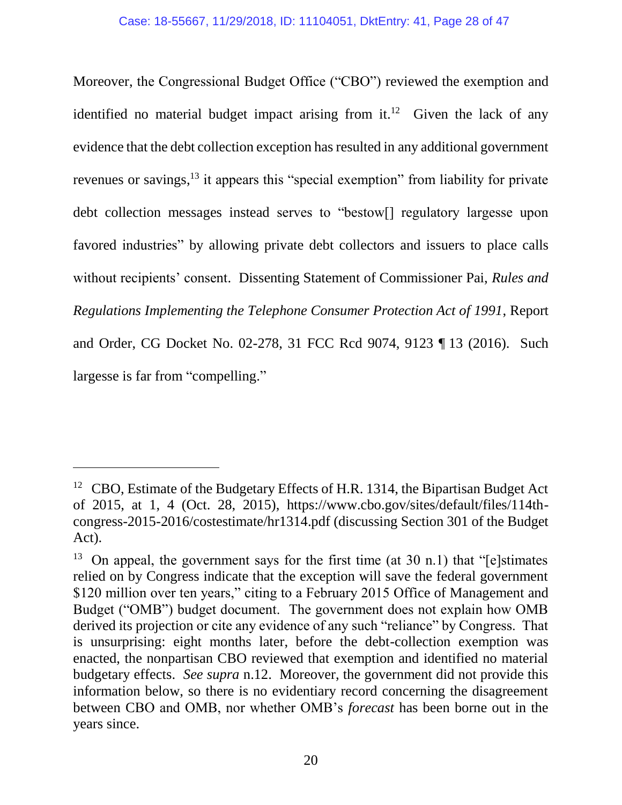<span id="page-27-0"></span>Moreover, the Congressional Budget Office ("CBO") reviewed the exemption and identified no material budget impact arising from it.<sup>12</sup> Given the lack of any evidence that the debt collection exception has resulted in any additional government revenues or savings,<sup>13</sup> it appears this "special exemption" from liability for private debt collection messages instead serves to "bestow[] regulatory largesse upon favored industries" by allowing private debt collectors and issuers to place calls without recipients' consent. Dissenting Statement of Commissioner Pai, *Rules and Regulations Implementing the Telephone Consumer Protection Act of 1991*, Report and Order, CG Docket No. 02-278, 31 FCC Rcd 9074, 9123 ¶ 13 (2016). Such largesse is far from "compelling."

<span id="page-27-1"></span><sup>&</sup>lt;sup>12</sup> CBO, Estimate of the Budgetary Effects of H.R. 1314, the Bipartisan Budget Act of 2015, at 1, 4 (Oct. 28, 2015), https://www.cbo.gov/sites/default/files/114thcongress-2015-2016/costestimate/hr1314.pdf (discussing Section 301 of the Budget Act).

<sup>&</sup>lt;sup>13</sup> On appeal, the government says for the first time (at 30 n.1) that "[e]stimates relied on by Congress indicate that the exception will save the federal government \$120 million over ten years," citing to a February 2015 Office of Management and Budget ("OMB") budget document. The government does not explain how OMB derived its projection or cite any evidence of any such "reliance" by Congress. That is unsurprising: eight months later, before the debt-collection exemption was enacted, the nonpartisan CBO reviewed that exemption and identified no material budgetary effects. *See supra* n.12. Moreover, the government did not provide this information below, so there is no evidentiary record concerning the disagreement between CBO and OMB, nor whether OMB's *forecast* has been borne out in the years since.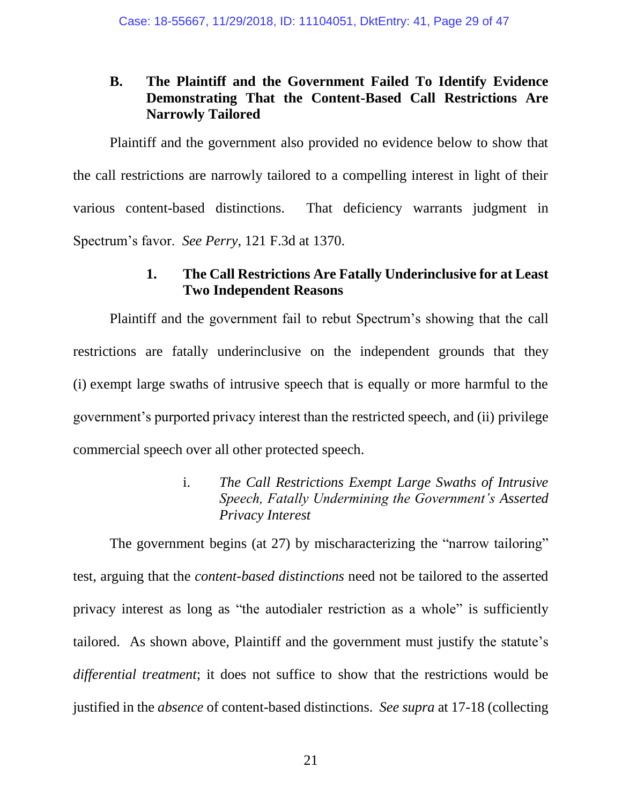# **B. The Plaintiff and the Government Failed To Identify Evidence Demonstrating That the Content-Based Call Restrictions Are Narrowly Tailored**

Plaintiff and the government also provided no evidence below to show that the call restrictions are narrowly tailored to a compelling interest in light of their various content-based distinctions. That deficiency warrants judgment in Spectrum's favor. *See Perry*, 121 F.3d at 1370.

## <span id="page-28-0"></span>**1. The Call Restrictions Are Fatally Underinclusive for at Least Two Independent Reasons**

Plaintiff and the government fail to rebut Spectrum's showing that the call restrictions are fatally underinclusive on the independent grounds that they (i) exempt large swaths of intrusive speech that is equally or more harmful to the government's purported privacy interest than the restricted speech, and (ii) privilege commercial speech over all other protected speech.

# i. *The Call Restrictions Exempt Large Swaths of Intrusive Speech, Fatally Undermining the Government's Asserted Privacy Interest*

The government begins (at 27) by mischaracterizing the "narrow tailoring" test, arguing that the *content-based distinctions* need not be tailored to the asserted privacy interest as long as "the autodialer restriction as a whole" is sufficiently tailored. As shown above, Plaintiff and the government must justify the statute's *differential treatment*; it does not suffice to show that the restrictions would be justified in the *absence* of content-based distinctions. *See supra* at 17-18 (collecting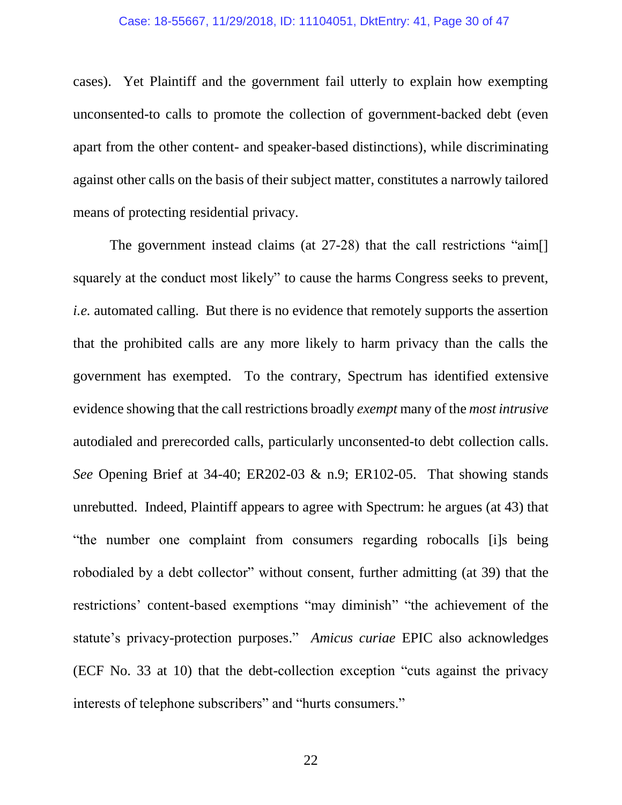cases). Yet Plaintiff and the government fail utterly to explain how exempting unconsented-to calls to promote the collection of government-backed debt (even apart from the other content- and speaker-based distinctions), while discriminating against other calls on the basis of their subject matter, constitutes a narrowly tailored means of protecting residential privacy.

The government instead claims (at 27-28) that the call restrictions "aim[] squarely at the conduct most likely" to cause the harms Congress seeks to prevent, *i.e.* automated calling. But there is no evidence that remotely supports the assertion that the prohibited calls are any more likely to harm privacy than the calls the government has exempted. To the contrary, Spectrum has identified extensive evidence showing that the call restrictions broadly *exempt* many of the *most intrusive* autodialed and prerecorded calls, particularly unconsented-to debt collection calls. *See* Opening Brief at 34-40; ER202-03 & n.9; ER102-05. That showing stands unrebutted. Indeed, Plaintiff appears to agree with Spectrum: he argues (at 43) that "the number one complaint from consumers regarding robocalls [i]s being robodialed by a debt collector" without consent, further admitting (at 39) that the restrictions' content-based exemptions "may diminish" "the achievement of the statute's privacy-protection purposes." *Amicus curiae* EPIC also acknowledges (ECF No. 33 at 10) that the debt-collection exception "cuts against the privacy interests of telephone subscribers" and "hurts consumers."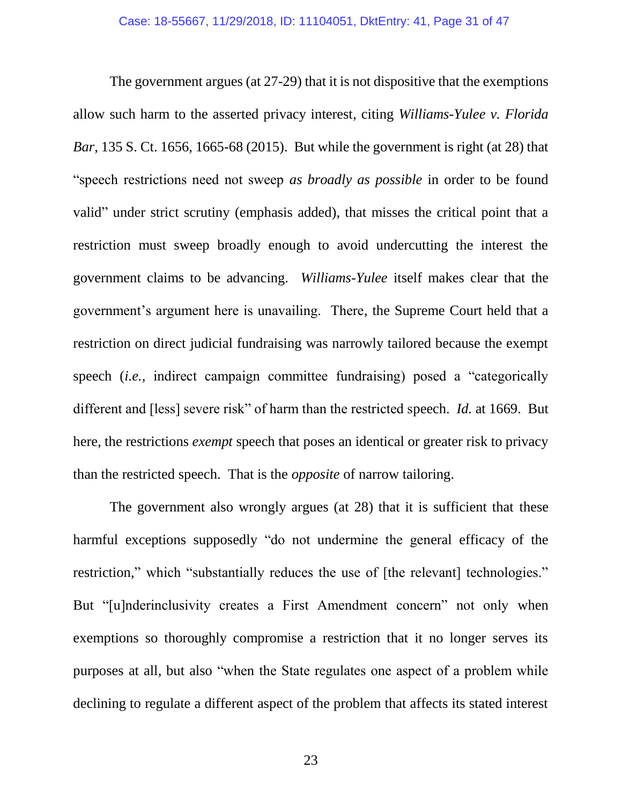<span id="page-30-0"></span>The government argues (at 27-29) that it is not dispositive that the exemptions allow such harm to the asserted privacy interest, citing *Williams-Yulee v. Florida Bar*, 135 S. Ct. 1656, 1665-68 (2015). But while the government is right (at 28) that "speech restrictions need not sweep *as broadly as possible* in order to be found valid" under strict scrutiny (emphasis added), that misses the critical point that a restriction must sweep broadly enough to avoid undercutting the interest the government claims to be advancing. *Williams-Yulee* itself makes clear that the government's argument here is unavailing. There, the Supreme Court held that a restriction on direct judicial fundraising was narrowly tailored because the exempt speech (*i.e.,* indirect campaign committee fundraising) posed a "categorically different and [less] severe risk" of harm than the restricted speech. *Id.* at 1669. But here, the restrictions *exempt* speech that poses an identical or greater risk to privacy than the restricted speech. That is the *opposite* of narrow tailoring.

<span id="page-30-1"></span>The government also wrongly argues (at 28) that it is sufficient that these harmful exceptions supposedly "do not undermine the general efficacy of the restriction," which "substantially reduces the use of [the relevant] technologies." But "[u]nderinclusivity creates a First Amendment concern" not only when exemptions so thoroughly compromise a restriction that it no longer serves its purposes at all, but also "when the State regulates one aspect of a problem while declining to regulate a different aspect of the problem that affects its stated interest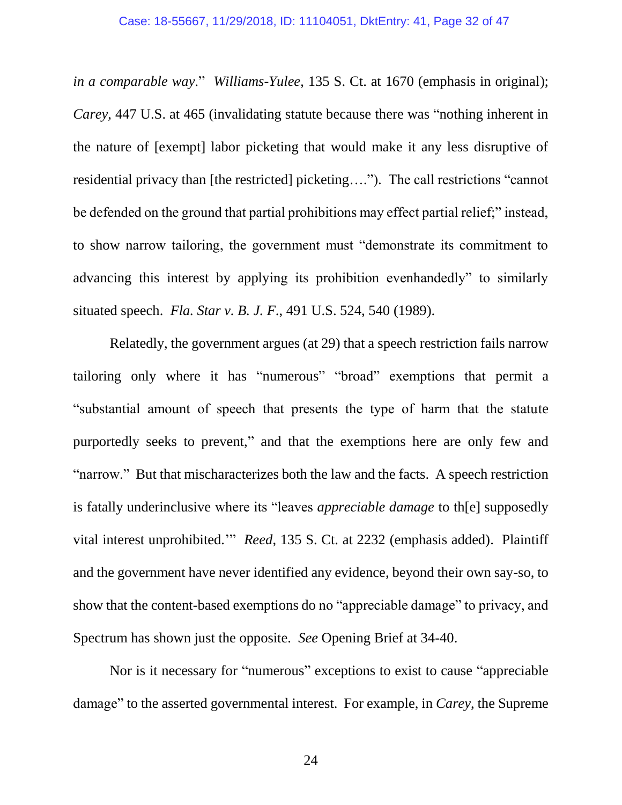*in a comparable way*." *Williams-Yulee*, 135 S. Ct. at 1670 (emphasis in original); *Carey*, 447 U.S. at 465 (invalidating statute because there was "nothing inherent in the nature of [exempt] labor picketing that would make it any less disruptive of residential privacy than [the restricted] picketing…."). The call restrictions "cannot be defended on the ground that partial prohibitions may effect partial relief;" instead, to show narrow tailoring, the government must "demonstrate its commitment to advancing this interest by applying its prohibition evenhandedly" to similarly situated speech. *Fla. Star v. B. J. F*., 491 U.S. 524, 540 (1989).

<span id="page-31-0"></span>Relatedly, the government argues (at 29) that a speech restriction fails narrow tailoring only where it has "numerous" "broad" exemptions that permit a "substantial amount of speech that presents the type of harm that the statute purportedly seeks to prevent," and that the exemptions here are only few and "narrow." But that mischaracterizes both the law and the facts. A speech restriction is fatally underinclusive where its "leaves *appreciable damage* to th[e] supposedly vital interest unprohibited.'" *Reed*, 135 S. Ct. at 2232 (emphasis added). Plaintiff and the government have never identified any evidence, beyond their own say-so, to show that the content-based exemptions do no "appreciable damage" to privacy, and Spectrum has shown just the opposite. *See* Opening Brief at 34-40.

<span id="page-31-1"></span>Nor is it necessary for "numerous" exceptions to exist to cause "appreciable damage" to the asserted governmental interest. For example, in *Carey*, the Supreme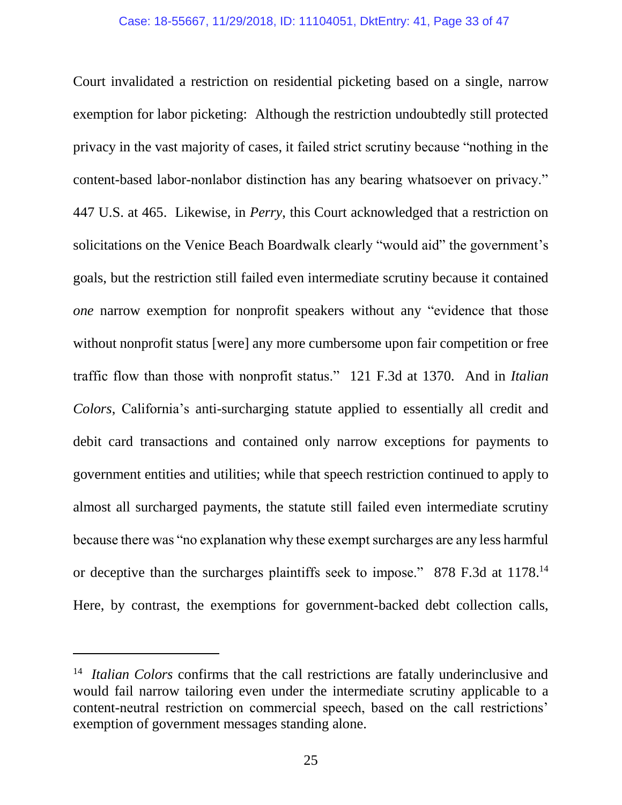<span id="page-32-1"></span>Court invalidated a restriction on residential picketing based on a single, narrow exemption for labor picketing: Although the restriction undoubtedly still protected privacy in the vast majority of cases, it failed strict scrutiny because "nothing in the content-based labor-nonlabor distinction has any bearing whatsoever on privacy." 447 U.S. at 465. Likewise, in *Perry*, this Court acknowledged that a restriction on solicitations on the Venice Beach Boardwalk clearly "would aid" the government's goals, but the restriction still failed even intermediate scrutiny because it contained *one* narrow exemption for nonprofit speakers without any "evidence that those without nonprofit status [were] any more cumbersome upon fair competition or free traffic flow than those with nonprofit status." 121 F.3d at 1370*.* And in *Italian Colors*, California's anti-surcharging statute applied to essentially all credit and debit card transactions and contained only narrow exceptions for payments to government entities and utilities; while that speech restriction continued to apply to almost all surcharged payments, the statute still failed even intermediate scrutiny because there was "no explanation why these exempt surcharges are any less harmful or deceptive than the surcharges plaintiffs seek to impose." 878 F.3d at 1178.<sup>14</sup> Here, by contrast, the exemptions for government-backed debt collection calls,

<span id="page-32-0"></span><sup>14</sup> *Italian Colors* confirms that the call restrictions are fatally underinclusive and would fail narrow tailoring even under the intermediate scrutiny applicable to a content-neutral restriction on commercial speech, based on the call restrictions' exemption of government messages standing alone.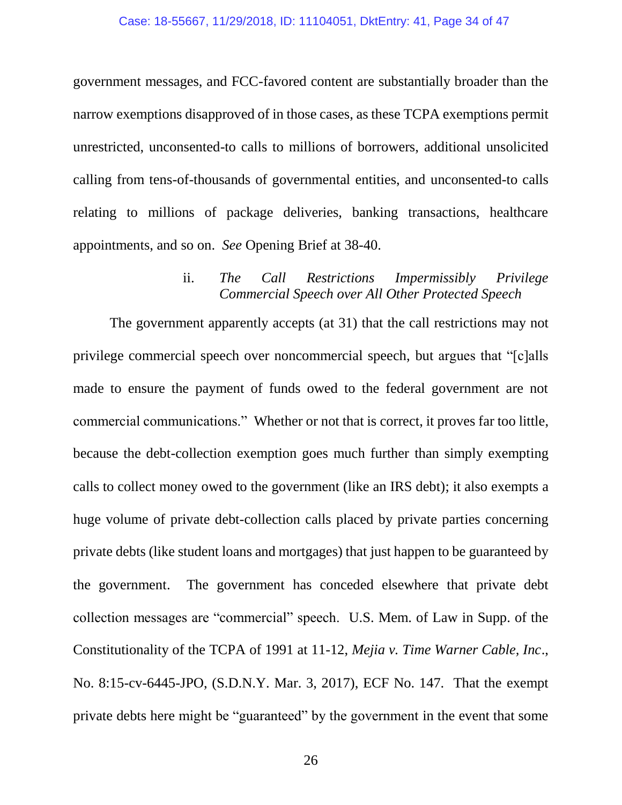government messages, and FCC-favored content are substantially broader than the narrow exemptions disapproved of in those cases, as these TCPA exemptions permit unrestricted, unconsented-to calls to millions of borrowers, additional unsolicited calling from tens-of-thousands of governmental entities, and unconsented-to calls relating to millions of package deliveries, banking transactions, healthcare appointments, and so on. *See* Opening Brief at 38-40.

### ii. *The Call Restrictions Impermissibly Privilege Commercial Speech over All Other Protected Speech*

The government apparently accepts (at 31) that the call restrictions may not privilege commercial speech over noncommercial speech, but argues that "[c]alls made to ensure the payment of funds owed to the federal government are not commercial communications." Whether or not that is correct, it proves far too little, because the debt-collection exemption goes much further than simply exempting calls to collect money owed to the government (like an IRS debt); it also exempts a huge volume of private debt-collection calls placed by private parties concerning private debts (like student loans and mortgages) that just happen to be guaranteed by the government. The government has conceded elsewhere that private debt collection messages are "commercial" speech. U.S. Mem. of Law in Supp. of the Constitutionality of the TCPA of 1991 at 11-12, *Mejia v. Time Warner Cable, Inc*., No. 8:15-cv-6445-JPO, (S.D.N.Y. Mar. 3, 2017), ECF No. 147. That the exempt private debts here might be "guaranteed" by the government in the event that some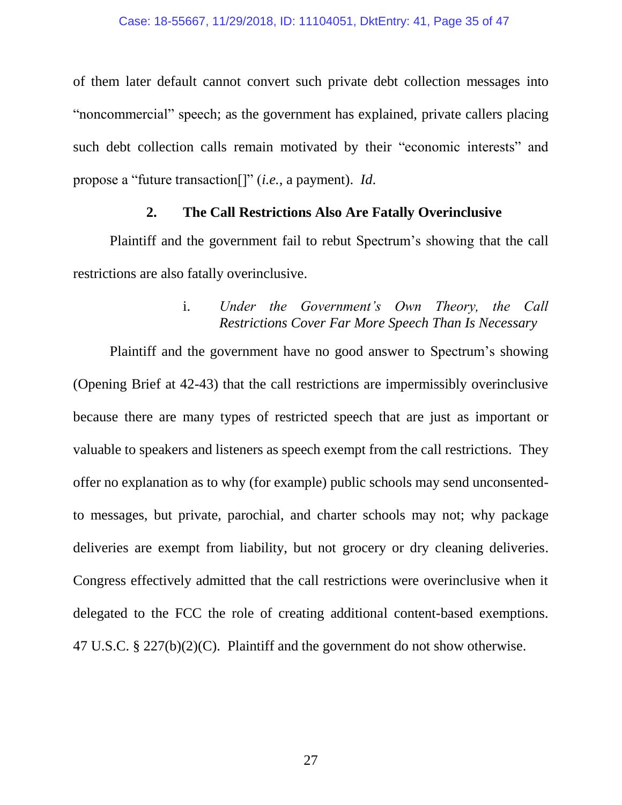of them later default cannot convert such private debt collection messages into "noncommercial" speech; as the government has explained, private callers placing such debt collection calls remain motivated by their "economic interests" and propose a "future transaction[]" (*i.e.*, a payment). *Id*.

### **2. The Call Restrictions Also Are Fatally Overinclusive**

Plaintiff and the government fail to rebut Spectrum's showing that the call restrictions are also fatally overinclusive.

# i. *Under the Government's Own Theory, the Call Restrictions Cover Far More Speech Than Is Necessary*

<span id="page-34-0"></span>Plaintiff and the government have no good answer to Spectrum's showing (Opening Brief at 42-43) that the call restrictions are impermissibly overinclusive because there are many types of restricted speech that are just as important or valuable to speakers and listeners as speech exempt from the call restrictions. They offer no explanation as to why (for example) public schools may send unconsentedto messages, but private, parochial, and charter schools may not; why package deliveries are exempt from liability, but not grocery or dry cleaning deliveries. Congress effectively admitted that the call restrictions were overinclusive when it delegated to the FCC the role of creating additional content-based exemptions. 47 U.S.C. § 227(b)(2)(C). Plaintiff and the government do not show otherwise.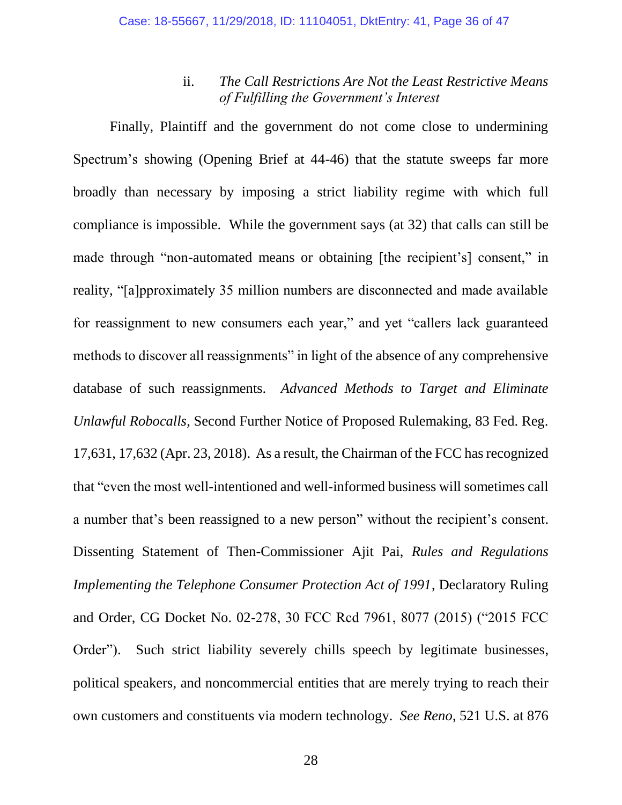### <span id="page-35-1"></span><span id="page-35-0"></span>ii. *The Call Restrictions Are Not the Least Restrictive Means of Fulfilling the Government's Interest*

<span id="page-35-2"></span>Finally, Plaintiff and the government do not come close to undermining Spectrum's showing (Opening Brief at 44-46) that the statute sweeps far more broadly than necessary by imposing a strict liability regime with which full compliance is impossible. While the government says (at 32) that calls can still be made through "non-automated means or obtaining [the recipient's] consent," in reality, "[a]pproximately 35 million numbers are disconnected and made available for reassignment to new consumers each year," and yet "callers lack guaranteed methods to discover all reassignments" in light of the absence of any comprehensive database of such reassignments. *Advanced Methods to Target and Eliminate Unlawful Robocalls*, Second Further Notice of Proposed Rulemaking, 83 Fed. Reg. 17,631, 17,632 (Apr. 23, 2018). As a result, the Chairman of the FCC has recognized that "even the most well-intentioned and well-informed business will sometimes call a number that's been reassigned to a new person" without the recipient's consent. Dissenting Statement of Then-Commissioner Ajit Pai, *Rules and Regulations Implementing the Telephone Consumer Protection Act of 1991*, Declaratory Ruling and Order, CG Docket No. 02-278, 30 FCC Rcd 7961, 8077 (2015) ("2015 FCC Order"). Such strict liability severely chills speech by legitimate businesses, political speakers, and noncommercial entities that are merely trying to reach their own customers and constituents via modern technology. *See Reno*, 521 U.S. at 876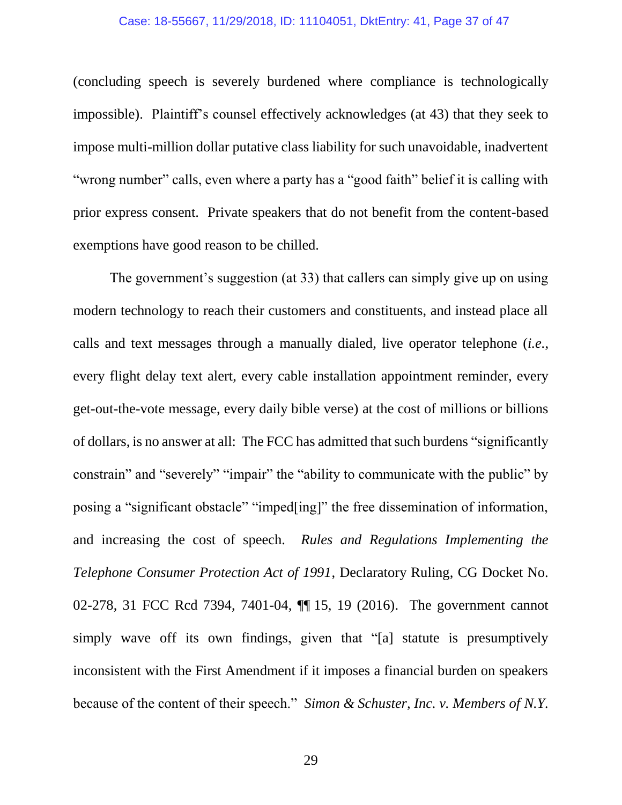#### Case: 18-55667, 11/29/2018, ID: 11104051, DktEntry: 41, Page 37 of 47

(concluding speech is severely burdened where compliance is technologically impossible). Plaintiff's counsel effectively acknowledges (at 43) that they seek to impose multi-million dollar putative class liability for such unavoidable, inadvertent "wrong number" calls, even where a party has a "good faith" belief it is calling with prior express consent. Private speakers that do not benefit from the content-based exemptions have good reason to be chilled.

<span id="page-36-1"></span><span id="page-36-0"></span>The government's suggestion (at 33) that callers can simply give up on using modern technology to reach their customers and constituents, and instead place all calls and text messages through a manually dialed, live operator telephone (*i.e.*, every flight delay text alert, every cable installation appointment reminder, every get-out-the-vote message, every daily bible verse) at the cost of millions or billions of dollars, is no answer at all: The FCC has admitted that such burdens "significantly constrain" and "severely" "impair" the "ability to communicate with the public" by posing a "significant obstacle" "imped[ing]" the free dissemination of information, and increasing the cost of speech. *Rules and Regulations Implementing the Telephone Consumer Protection Act of 1991*, Declaratory Ruling, CG Docket No. 02-278, 31 FCC Rcd 7394, 7401-04, ¶¶ 15, 19 (2016). The government cannot simply wave off its own findings, given that "[a] statute is presumptively inconsistent with the First Amendment if it imposes a financial burden on speakers because of the content of their speech." *Simon & Schuster, Inc. v. Members of N.Y.*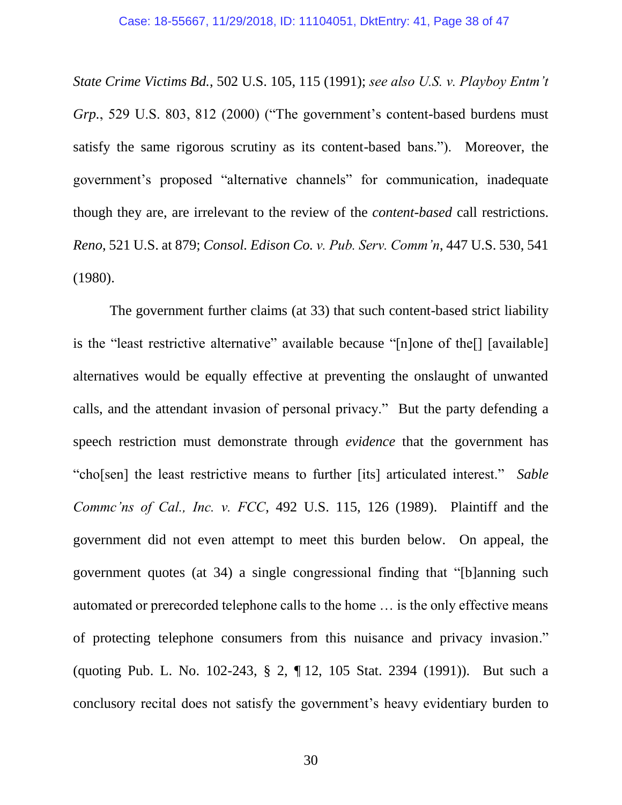<span id="page-37-3"></span>*State Crime Victims Bd.*, 502 U.S. 105, 115 (1991); *see also U.S. v. Playboy Entm't Grp.*, 529 U.S. 803, 812 (2000) ("The government's content-based burdens must satisfy the same rigorous scrutiny as its content-based bans."). Moreover, the government's proposed "alternative channels" for communication, inadequate though they are, are irrelevant to the review of the *content-based* call restrictions. *Reno*, 521 U.S. at 879; *Consol. Edison Co. v. Pub. Serv. Comm'n*, 447 U.S. 530, 541 (1980).

<span id="page-37-4"></span><span id="page-37-2"></span><span id="page-37-1"></span><span id="page-37-0"></span>The government further claims (at 33) that such content-based strict liability is the "least restrictive alternative" available because "[n]one of the[] [available] alternatives would be equally effective at preventing the onslaught of unwanted calls, and the attendant invasion of personal privacy." But the party defending a speech restriction must demonstrate through *evidence* that the government has "cho[sen] the least restrictive means to further [its] articulated interest." *Sable Commc'ns of Cal., Inc. v. FCC*, 492 U.S. 115, 126 (1989). Plaintiff and the government did not even attempt to meet this burden below. On appeal, the government quotes (at 34) a single congressional finding that "[b]anning such automated or prerecorded telephone calls to the home … is the only effective means of protecting telephone consumers from this nuisance and privacy invasion." (quoting Pub. L. No. 102-243, § 2, ¶ 12, 105 Stat. 2394 (1991)). But such a conclusory recital does not satisfy the government's heavy evidentiary burden to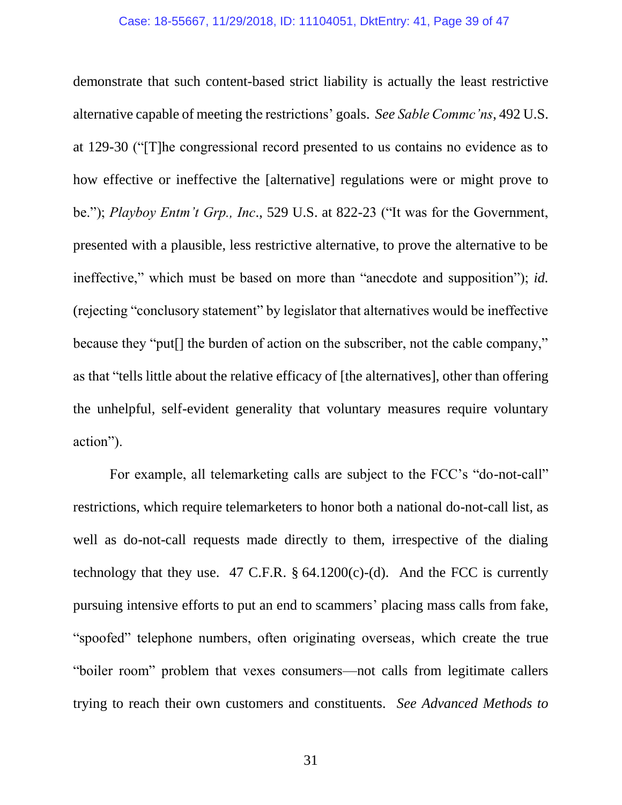<span id="page-38-1"></span><span id="page-38-0"></span>demonstrate that such content-based strict liability is actually the least restrictive alternative capable of meeting the restrictions' goals. *See Sable Commc'ns*, 492 U.S. at 129-30 ("[T]he congressional record presented to us contains no evidence as to how effective or ineffective the [alternative] regulations were or might prove to be."); *Playboy Entm't Grp., Inc*., 529 U.S. at 822-23 ("It was for the Government, presented with a plausible, less restrictive alternative, to prove the alternative to be ineffective," which must be based on more than "anecdote and supposition"); *id.*  (rejecting "conclusory statement" by legislator that alternatives would be ineffective because they "put[] the burden of action on the subscriber, not the cable company," as that "tells little about the relative efficacy of [the alternatives], other than offering the unhelpful, self-evident generality that voluntary measures require voluntary action").

<span id="page-38-2"></span>For example, all telemarketing calls are subject to the FCC's "do-not-call" restrictions, which require telemarketers to honor both a national do-not-call list, as well as do-not-call requests made directly to them, irrespective of the dialing technology that they use. 47 C.F.R.  $\S$  64.1200(c)-(d). And the FCC is currently pursuing intensive efforts to put an end to scammers' placing mass calls from fake, "spoofed" telephone numbers, often originating overseas, which create the true "boiler room" problem that vexes consumers—not calls from legitimate callers trying to reach their own customers and constituents. *See Advanced Methods to*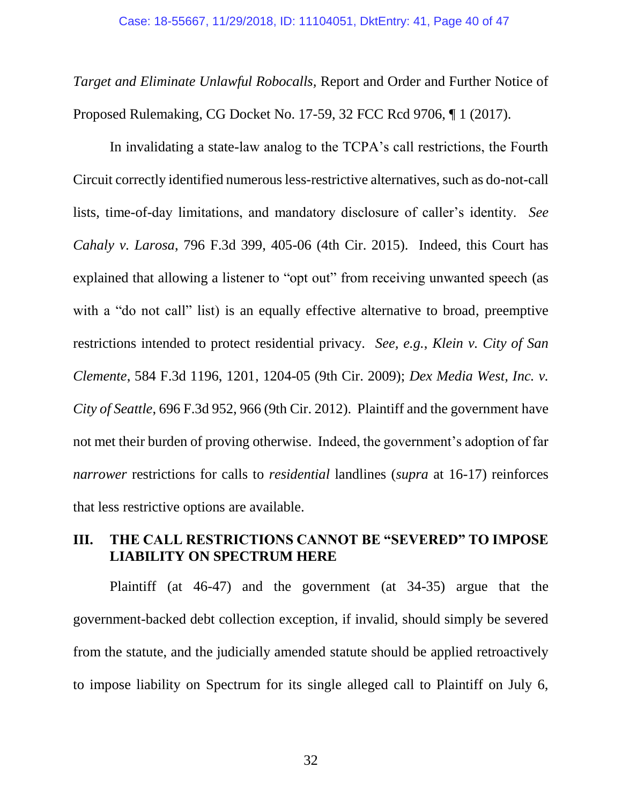*Target and Eliminate Unlawful Robocalls,* Report and Order and Further Notice of Proposed Rulemaking, CG Docket No. 17-59, 32 FCC Rcd 9706, ¶ 1 (2017).

<span id="page-39-2"></span><span id="page-39-0"></span>In invalidating a state-law analog to the TCPA's call restrictions, the Fourth Circuit correctly identified numerous less-restrictive alternatives, such as do-not-call lists, time-of-day limitations, and mandatory disclosure of caller's identity. *See Cahaly v. Larosa*, 796 F.3d 399, 405-06 (4th Cir. 2015). Indeed, this Court has explained that allowing a listener to "opt out" from receiving unwanted speech (as with a "do not call" list) is an equally effective alternative to broad, preemptive restrictions intended to protect residential privacy. *See, e.g.*, *Klein v. City of San Clemente*, 584 F.3d 1196, 1201, 1204-05 (9th Cir. 2009); *Dex Media West, Inc. v. City of Seattle*, 696 F.3d 952, 966 (9th Cir. 2012). Plaintiff and the government have not met their burden of proving otherwise. Indeed, the government's adoption of far *narrower* restrictions for calls to *residential* landlines (*supra* at 16-17) reinforces that less restrictive options are available.

# <span id="page-39-1"></span>**III. THE CALL RESTRICTIONS CANNOT BE "SEVERED" TO IMPOSE LIABILITY ON SPECTRUM HERE**

Plaintiff (at 46-47) and the government (at 34-35) argue that the government-backed debt collection exception, if invalid, should simply be severed from the statute, and the judicially amended statute should be applied retroactively to impose liability on Spectrum for its single alleged call to Plaintiff on July 6,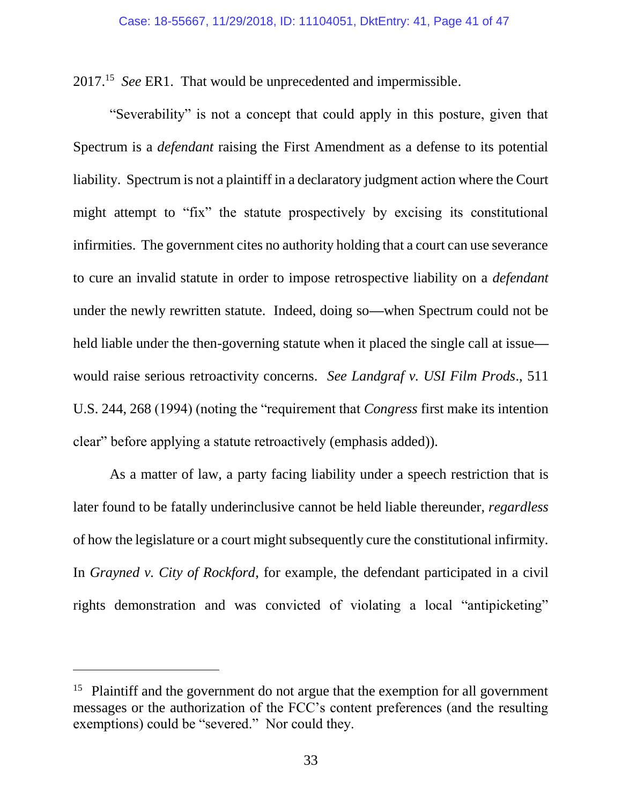2017. 15 *See* ER1. That would be unprecedented and impermissible.

"Severability" is not a concept that could apply in this posture, given that Spectrum is a *defendant* raising the First Amendment as a defense to its potential liability. Spectrum is not a plaintiff in a declaratory judgment action where the Court might attempt to "fix" the statute prospectively by excising its constitutional infirmities. The government cites no authority holding that a court can use severance to cure an invalid statute in order to impose retrospective liability on a *defendant*  under the newly rewritten statute. Indeed, doing so**—**when Spectrum could not be held liable under the then-governing statute when it placed the single call at issue would raise serious retroactivity concerns. *See Landgraf v. USI Film Prods*., 511 U.S. 244, 268 (1994) (noting the "requirement that *Congress* first make its intention clear" before applying a statute retroactively (emphasis added)).

<span id="page-40-1"></span><span id="page-40-0"></span>As a matter of law, a party facing liability under a speech restriction that is later found to be fatally underinclusive cannot be held liable thereunder, *regardless* of how the legislature or a court might subsequently cure the constitutional infirmity. In *Grayned v. City of Rockford*, for example, the defendant participated in a civil rights demonstration and was convicted of violating a local "antipicketing"

<sup>&</sup>lt;sup>15</sup> Plaintiff and the government do not argue that the exemption for all government messages or the authorization of the FCC's content preferences (and the resulting exemptions) could be "severed." Nor could they.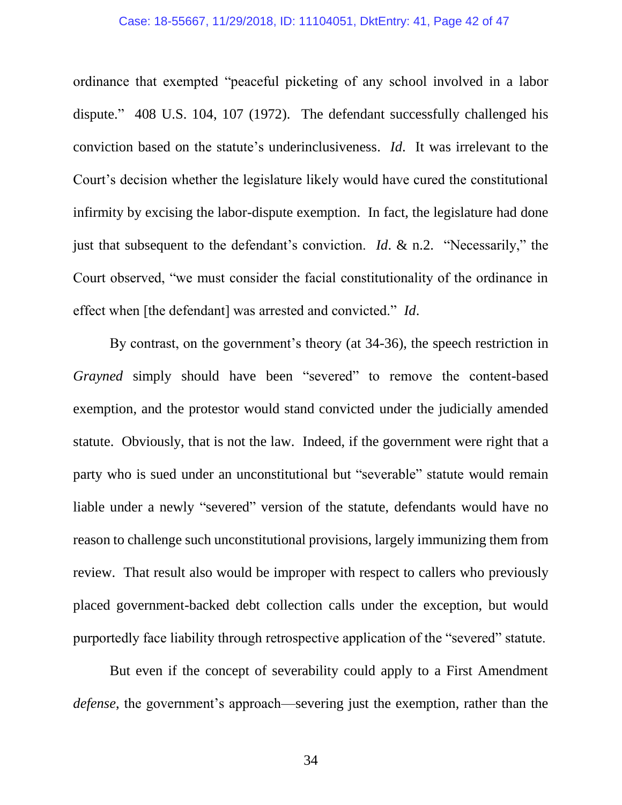#### Case: 18-55667, 11/29/2018, ID: 11104051, DktEntry: 41, Page 42 of 47

<span id="page-41-0"></span>ordinance that exempted "peaceful picketing of any school involved in a labor dispute." 408 U.S. 104, 107 (1972). The defendant successfully challenged his conviction based on the statute's underinclusiveness. *Id*. It was irrelevant to the Court's decision whether the legislature likely would have cured the constitutional infirmity by excising the labor-dispute exemption. In fact, the legislature had done just that subsequent to the defendant's conviction. *Id*. & n.2. "Necessarily," the Court observed, "we must consider the facial constitutionality of the ordinance in effect when [the defendant] was arrested and convicted." *Id*.

By contrast, on the government's theory (at 34-36), the speech restriction in *Grayned* simply should have been "severed" to remove the content-based exemption, and the protestor would stand convicted under the judicially amended statute. Obviously, that is not the law. Indeed, if the government were right that a party who is sued under an unconstitutional but "severable" statute would remain liable under a newly "severed" version of the statute, defendants would have no reason to challenge such unconstitutional provisions, largely immunizing them from review. That result also would be improper with respect to callers who previously placed government-backed debt collection calls under the exception, but would purportedly face liability through retrospective application of the "severed" statute.

But even if the concept of severability could apply to a First Amendment *defense*, the government's approach—severing just the exemption, rather than the

34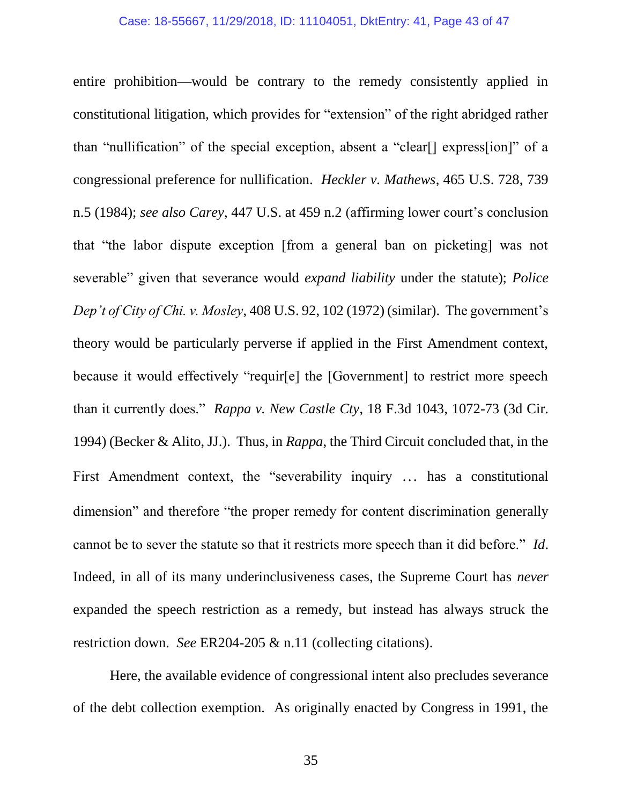<span id="page-42-1"></span><span id="page-42-0"></span>entire prohibition—would be contrary to the remedy consistently applied in constitutional litigation, which provides for "extension" of the right abridged rather than "nullification" of the special exception, absent a "clear[] express[ion]" of a congressional preference for nullification. *Heckler v. Mathews*, 465 U.S. 728, 739 n.5 (1984); *see also Carey*, 447 U.S. at 459 n.2 (affirming lower court's conclusion that "the labor dispute exception [from a general ban on picketing] was not severable" given that severance would *expand liability* under the statute); *Police Dep't of City of Chi. v. Mosley*, 408 U.S. 92, 102 (1972) (similar). The government's theory would be particularly perverse if applied in the First Amendment context, because it would effectively "requir[e] the [Government] to restrict more speech than it currently does." *Rappa v. New Castle Cty*, 18 F.3d 1043, 1072-73 (3d Cir. 1994) (Becker & Alito, JJ.). Thus, in *Rappa*, the Third Circuit concluded that, in the First Amendment context, the "severability inquiry … has a constitutional dimension" and therefore "the proper remedy for content discrimination generally cannot be to sever the statute so that it restricts more speech than it did before." *Id*. Indeed, in all of its many underinclusiveness cases, the Supreme Court has *never* expanded the speech restriction as a remedy, but instead has always struck the restriction down. *See* ER204-205 & n.11 (collecting citations).

<span id="page-42-2"></span>Here, the available evidence of congressional intent also precludes severance of the debt collection exemption. As originally enacted by Congress in 1991, the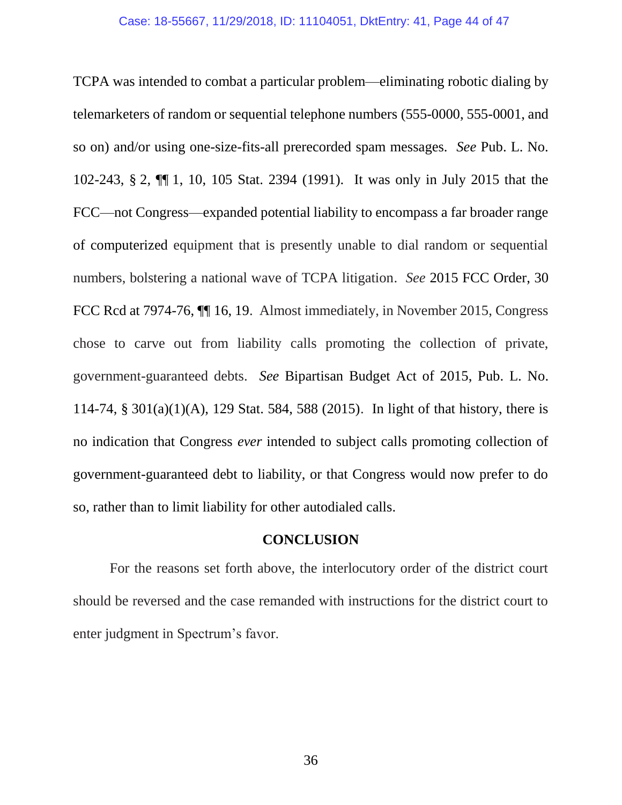<span id="page-43-0"></span>TCPA was intended to combat a particular problem—eliminating robotic dialing by telemarketers of random or sequential telephone numbers (555-0000, 555-0001, and so on) and/or using one-size-fits-all prerecorded spam messages. *See* Pub. L. No. 102-243, § 2, ¶¶ 1, 10, 105 Stat. 2394 (1991). It was only in July 2015 that the FCC—not Congress—expanded potential liability to encompass a far broader range of computerized equipment that is presently unable to dial random or sequential numbers, bolstering a national wave of TCPA litigation. *See* 2015 FCC Order, 30 FCC Rcd at 7974-76,  $\P$  16, 19. Almost immediately, in November 2015, Congress chose to carve out from liability calls promoting the collection of private, government-guaranteed debts. *See* Bipartisan Budget Act of 2015, Pub. L. No. 114-74, § 301(a)(1)(A), 129 Stat. 584, 588 (2015). In light of that history, there is no indication that Congress *ever* intended to subject calls promoting collection of government-guaranteed debt to liability, or that Congress would now prefer to do so, rather than to limit liability for other autodialed calls.

### <span id="page-43-1"></span>**CONCLUSION**

For the reasons set forth above, the interlocutory order of the district court should be reversed and the case remanded with instructions for the district court to enter judgment in Spectrum's favor.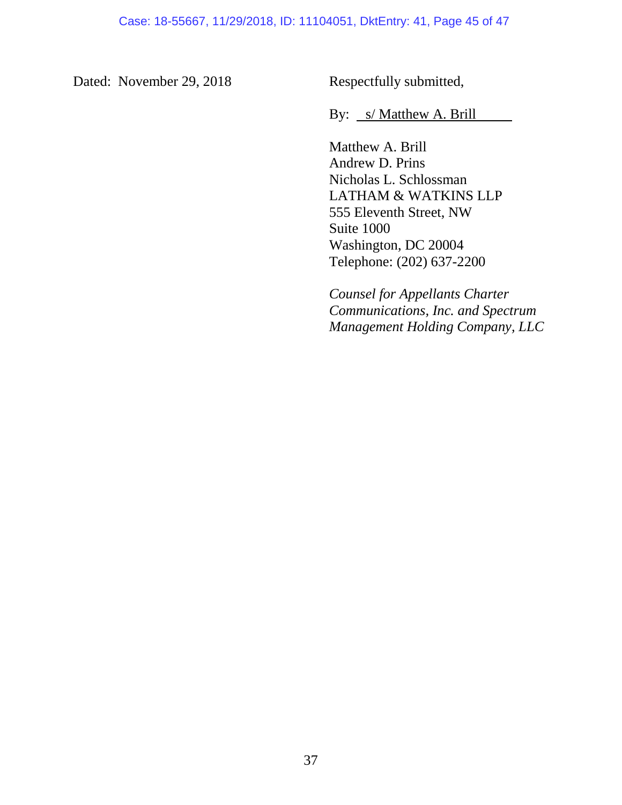Dated: November 29, 2018 Respectfully submitted,

By: *s/ Matthew A. Brill* 

Matthew A. Brill Andrew D. Prins Nicholas L. Schlossman LATHAM & WATKINS LLP 555 Eleventh Street, NW Suite 1000 Washington, DC 20004 Telephone: (202) 637-2200

*Counsel for Appellants Charter Communications, Inc. and Spectrum Management Holding Company, LLC*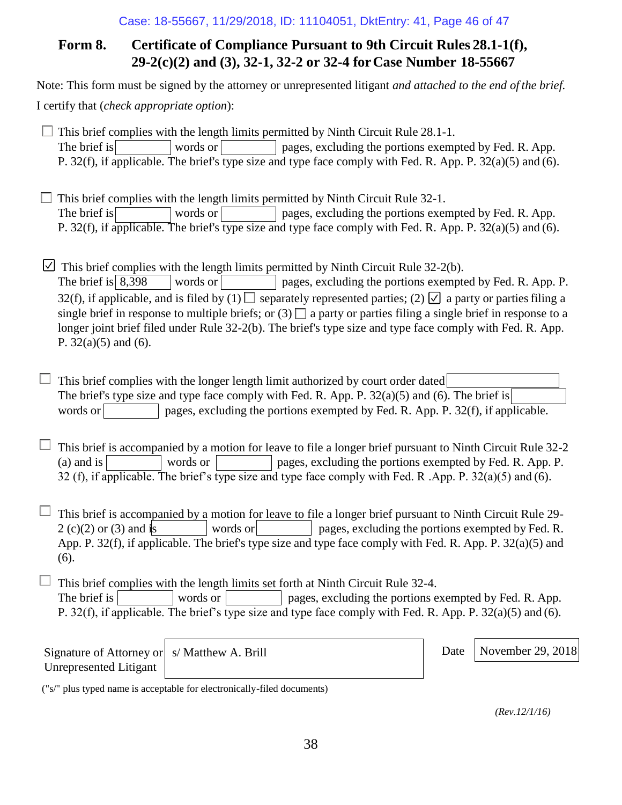### Case: 18-55667, 11/29/2018, ID: 11104051, DktEntry: 41, Page 46 of 47

# **Form 8. Certificate of Compliance Pursuant to 9th Circuit Rules 28.1-1(f), 29-2(c)(2) and (3), 32-1, 32-2 or 32-4 forCase Number 18-55667**

Note: This form must be signed by the attorney or unrepresented litigant *and attached to the end of the brief.* 

I certify that (*check appropriate option*):

 $\Box$  This brief complies with the length limits permitted by Ninth Circuit Rule 28.1-1. The brief is words or pages, excluding the portions exempted by Fed. R. App. P. 32(f), if applicable. The brief's type size and type face comply with Fed. R. App. P. 32(a)(5) and (6).

 $\Box$  This brief complies with the length limits permitted by Ninth Circuit Rule 32-1. The brief is words or pages, excluding the portions exempted by Fed. R. App. P. 32(f), if applicable. The brief's type size and type face comply with Fed. R. App. P. 32(a)(5) and (6).

 $\Box$  This brief complies with the length limits permitted by Ninth Circuit Rule 32-2(b).

The brief is  $\begin{array}{c} 8,398 \\ \end{array}$  words or pages, excluding the portions exempted by Fed. R. App. P. 32(f), if applicable, and is filed by (1)  $\Box$  separately represented parties; (2)  $\Box$  a party or parties filing a single brief in response to multiple briefs; or  $(3)$  a party or parties filing a single brief in response to a longer joint brief filed under Rule 32-2(b). The brief's type size and type face comply with Fed. R. App. P. 32(a)(5) and (6).

This brief complies with the longer length limit authorized by court order dated The brief's type size and type face comply with Fed. R. App. P.  $32(a)(5)$  and (6). The brief is words or pages, excluding the portions exempted by Fed. R. App. P.  $32(f)$ , if applicable.

This brief is accompanied by a motion for leave to file a longer brief pursuant to Ninth Circuit Rule 32-2 (a) and is words or pages, excluding the portions exempted by Fed. R. App. P. 32 (f), if applicable. The brief's type size and type face comply with Fed. R .App. P. 32(a)(5) and (6).

 $\Box$  This brief is accompanied by a motion for leave to file a longer brief pursuant to Ninth Circuit Rule 29- $2 (c)(2)$  or (3) and is words or pages, excluding the portions exempted by Fed. R. App. P. 32(f), if applicable. The brief's type size and type face comply with Fed. R. App. P. 32(a)(5) and (6).

 $\Box$  This brief complies with the length limits set forth at Ninth Circuit Rule 32-4. The brief is words or words or pages, excluding the portions exempted by Fed. R. App. P. 32(f), if applicable. The brief's type size and type face comply with Fed. R. App. P. 32(a)(5) and (6).

| Signature of Attorney or   s/M |  |
|--------------------------------|--|
| Unrepresented Litigant         |  |

atthew A. Brill **Date** November 29, 2018

("s/" plus typed name is acceptable for electronically-filed documents)

*(Rev.12/1/16)*